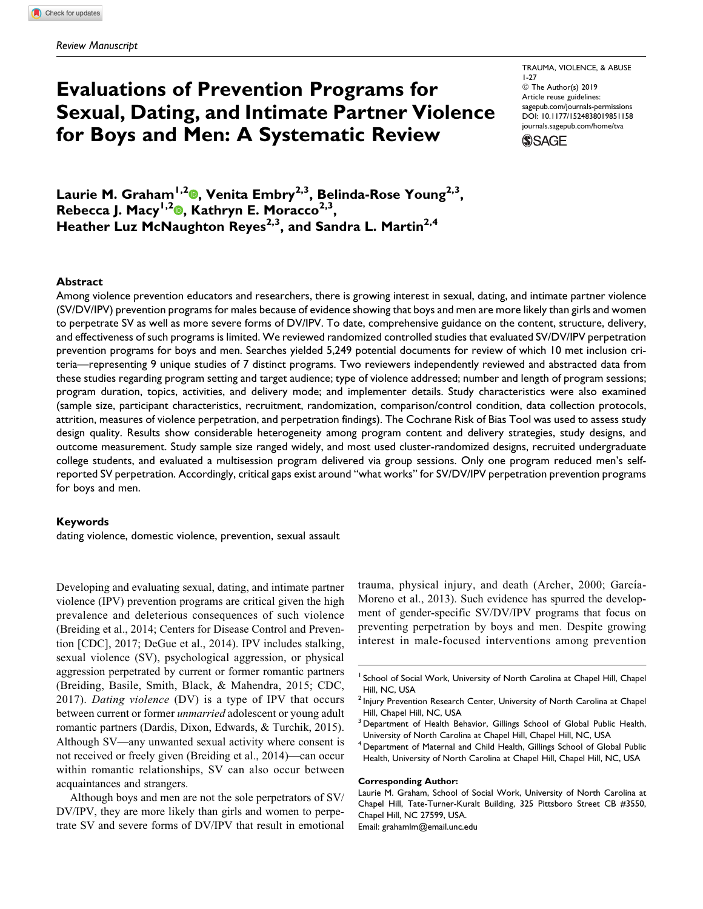# Evaluations of Prevention Programs for Sexual, Dating, and Intimate Partner Violence for Boys and Men: A Systematic Review

TRAUMA, VIOLENCE, & ABUSE 1-27 ª The Author(s) 2019 Article reuse guidelines: [sagepub.com/journals-permissions](https://sagepub.com/journals-permissions) [DOI: 10.1177/1524838019851158](https://doi.org/10.1177/1524838019851158) [journals.sagepub.com/home/tva](http://journals.sagepub.com/home/tva)



Laurie M. Graham<sup>1[,](https://orcid.org/0000-0003-3318-8591)2</sup><sup>0</sup>, Venita Embry<sup>2,3</sup>, Belinda-Rose Young<sup>2,3</sup>, Rebecca J. Macy<sup>1[,](https://orcid.org/0000-0003-4212-9753)2</sup><sup>0</sup>, Kathryn E. Moracco<sup>2,3</sup>, Heather Luz McNaughton Reyes<sup>2,3</sup>, and Sandra L. Martin<sup>2,4</sup>

#### **Abstract**

Among violence prevention educators and researchers, there is growing interest in sexual, dating, and intimate partner violence (SV/DV/IPV) prevention programs for males because of evidence showing that boys and men are more likely than girls and women to perpetrate SV as well as more severe forms of DV/IPV. To date, comprehensive guidance on the content, structure, delivery, and effectiveness of such programs is limited. We reviewed randomized controlled studies that evaluated SV/DV/IPV perpetration prevention programs for boys and men. Searches yielded 5,249 potential documents for review of which 10 met inclusion criteria—representing 9 unique studies of 7 distinct programs. Two reviewers independently reviewed and abstracted data from these studies regarding program setting and target audience; type of violence addressed; number and length of program sessions; program duration, topics, activities, and delivery mode; and implementer details. Study characteristics were also examined (sample size, participant characteristics, recruitment, randomization, comparison/control condition, data collection protocols, attrition, measures of violence perpetration, and perpetration findings). The Cochrane Risk of Bias Tool was used to assess study design quality. Results show considerable heterogeneity among program content and delivery strategies, study designs, and outcome measurement. Study sample size ranged widely, and most used cluster-randomized designs, recruited undergraduate college students, and evaluated a multisession program delivered via group sessions. Only one program reduced men's selfreported SV perpetration. Accordingly, critical gaps exist around "what works" for SV/DV/IPV perpetration prevention programs for boys and men.

#### Keywords

dating violence, domestic violence, prevention, sexual assault

Developing and evaluating sexual, dating, and intimate partner violence (IPV) prevention programs are critical given the high prevalence and deleterious consequences of such violence (Breiding et al., 2014; Centers for Disease Control and Prevention [CDC], 2017; DeGue et al., 2014). IPV includes stalking, sexual violence (SV), psychological aggression, or physical aggression perpetrated by current or former romantic partners (Breiding, Basile, Smith, Black, & Mahendra, 2015; CDC, 2017). Dating violence (DV) is a type of IPV that occurs between current or former *unmarried* adolescent or young adult romantic partners (Dardis, Dixon, Edwards, & Turchik, 2015). Although SV—any unwanted sexual activity where consent is not received or freely given (Breiding et al., 2014)—can occur within romantic relationships, SV can also occur between acquaintances and strangers.

Although boys and men are not the sole perpetrators of SV/ DV/IPV, they are more likely than girls and women to perpetrate SV and severe forms of DV/IPV that result in emotional trauma, physical injury, and death (Archer, 2000; García-Moreno et al., 2013). Such evidence has spurred the development of gender-specific SV/DV/IPV programs that focus on preventing perpetration by boys and men. Despite growing interest in male-focused interventions among prevention

<sup>4</sup> Department of Maternal and Child Health, Gillings School of Global Public Health, University of North Carolina at Chapel Hill, Chapel Hill, NC, USA

#### Corresponding Author:

Laurie M. Graham, School of Social Work, University of North Carolina at Chapel Hill, Tate-Turner-Kuralt Building, 325 Pittsboro Street CB #3550, Chapel Hill, NC 27599, USA. Email: [grahamlm@email.unc.edu](mailto:grahamlm@email.unc.edu)

School of Social Work, University of North Carolina at Chapel Hill, Chapel Hill, NC, USA

<sup>&</sup>lt;sup>2</sup> Injury Prevention Research Center, University of North Carolina at Chapel Hill, Chapel Hill, NC, USA

<sup>&</sup>lt;sup>3</sup> Department of Health Behavior, Gillings School of Global Public Health, University of North Carolina at Chapel Hill, Chapel Hill, NC, USA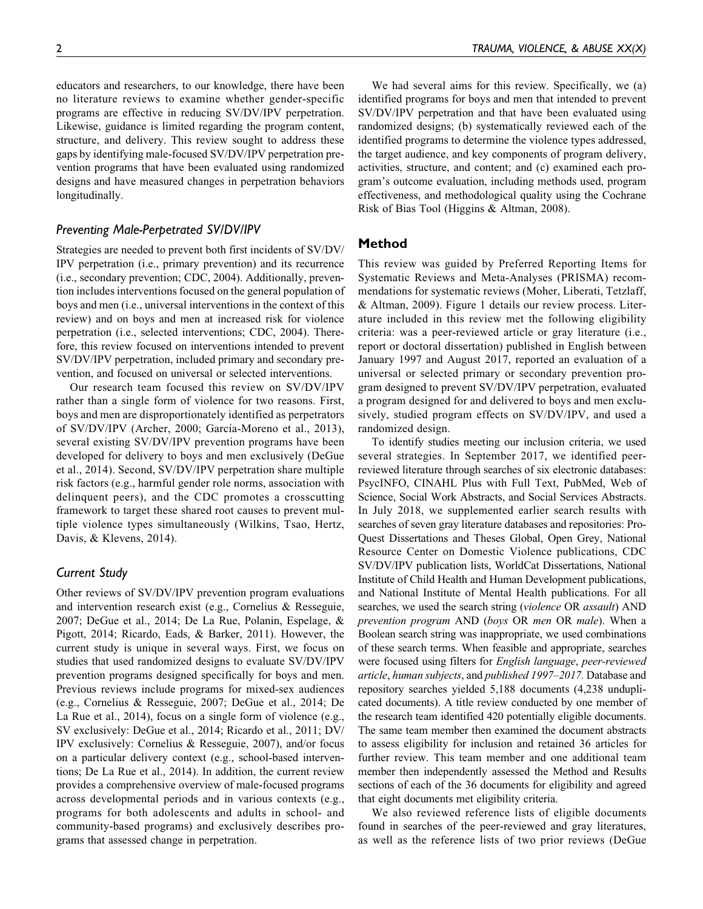educators and researchers, to our knowledge, there have been no literature reviews to examine whether gender-specific programs are effective in reducing SV/DV/IPV perpetration. Likewise, guidance is limited regarding the program content, structure, and delivery. This review sought to address these gaps by identifying male-focused SV/DV/IPV perpetration prevention programs that have been evaluated using randomized designs and have measured changes in perpetration behaviors longitudinally.

## Preventing Male-Perpetrated SV/DV/IPV

Strategies are needed to prevent both first incidents of SV/DV/ IPV perpetration (i.e., primary prevention) and its recurrence (i.e., secondary prevention; CDC, 2004). Additionally, prevention includes interventions focused on the general population of boys and men (i.e., universal interventions in the context of this review) and on boys and men at increased risk for violence perpetration (i.e., selected interventions; CDC, 2004). Therefore, this review focused on interventions intended to prevent SV/DV/IPV perpetration, included primary and secondary prevention, and focused on universal or selected interventions.

Our research team focused this review on SV/DV/IPV rather than a single form of violence for two reasons. First, boys and men are disproportionately identified as perpetrators of SV/DV/IPV (Archer, 2000; García-Moreno et al., 2013), several existing SV/DV/IPV prevention programs have been developed for delivery to boys and men exclusively (DeGue et al., 2014). Second, SV/DV/IPV perpetration share multiple risk factors (e.g., harmful gender role norms, association with delinquent peers), and the CDC promotes a crosscutting framework to target these shared root causes to prevent multiple violence types simultaneously (Wilkins, Tsao, Hertz, Davis, & Klevens, 2014).

#### Current Study

Other reviews of SV/DV/IPV prevention program evaluations and intervention research exist (e.g., Cornelius & Resseguie, 2007; DeGue et al., 2014; De La Rue, Polanin, Espelage, & Pigott, 2014; Ricardo, Eads, & Barker, 2011). However, the current study is unique in several ways. First, we focus on studies that used randomized designs to evaluate SV/DV/IPV prevention programs designed specifically for boys and men. Previous reviews include programs for mixed-sex audiences (e.g., Cornelius & Resseguie, 2007; DeGue et al., 2014; De La Rue et al., 2014), focus on a single form of violence (e.g., SV exclusively: DeGue et al., 2014; Ricardo et al., 2011; DV/ IPV exclusively: Cornelius & Resseguie, 2007), and/or focus on a particular delivery context (e.g., school-based interventions; De La Rue et al., 2014). In addition, the current review provides a comprehensive overview of male-focused programs across developmental periods and in various contexts (e.g., programs for both adolescents and adults in school- and community-based programs) and exclusively describes programs that assessed change in perpetration.

We had several aims for this review. Specifically, we (a) identified programs for boys and men that intended to prevent SV/DV/IPV perpetration and that have been evaluated using randomized designs; (b) systematically reviewed each of the identified programs to determine the violence types addressed, the target audience, and key components of program delivery, activities, structure, and content; and (c) examined each program's outcome evaluation, including methods used, program effectiveness, and methodological quality using the Cochrane Risk of Bias Tool (Higgins & Altman, 2008).

#### Method

This review was guided by Preferred Reporting Items for Systematic Reviews and Meta-Analyses (PRISMA) recommendations for systematic reviews (Moher, Liberati, Tetzlaff, & Altman, 2009). Figure 1 details our review process. Literature included in this review met the following eligibility criteria: was a peer-reviewed article or gray literature (i.e., report or doctoral dissertation) published in English between January 1997 and August 2017, reported an evaluation of a universal or selected primary or secondary prevention program designed to prevent SV/DV/IPV perpetration, evaluated a program designed for and delivered to boys and men exclusively, studied program effects on SV/DV/IPV, and used a randomized design.

To identify studies meeting our inclusion criteria, we used several strategies. In September 2017, we identified peerreviewed literature through searches of six electronic databases: PsycINFO, CINAHL Plus with Full Text, PubMed, Web of Science, Social Work Abstracts, and Social Services Abstracts. In July 2018, we supplemented earlier search results with searches of seven gray literature databases and repositories: Pro-Quest Dissertations and Theses Global, Open Grey, National Resource Center on Domestic Violence publications, CDC SV/DV/IPV publication lists, WorldCat Dissertations, National Institute of Child Health and Human Development publications, and National Institute of Mental Health publications. For all searches, we used the search string (violence OR assault) AND prevention program AND (boys OR men OR male). When a Boolean search string was inappropriate, we used combinations of these search terms. When feasible and appropriate, searches were focused using filters for English language, peer-reviewed article, human subjects, and published 1997–2017. Database and repository searches yielded 5,188 documents (4,238 unduplicated documents). A title review conducted by one member of the research team identified 420 potentially eligible documents. The same team member then examined the document abstracts to assess eligibility for inclusion and retained 36 articles for further review. This team member and one additional team member then independently assessed the Method and Results sections of each of the 36 documents for eligibility and agreed that eight documents met eligibility criteria.

We also reviewed reference lists of eligible documents found in searches of the peer-reviewed and gray literatures, as well as the reference lists of two prior reviews (DeGue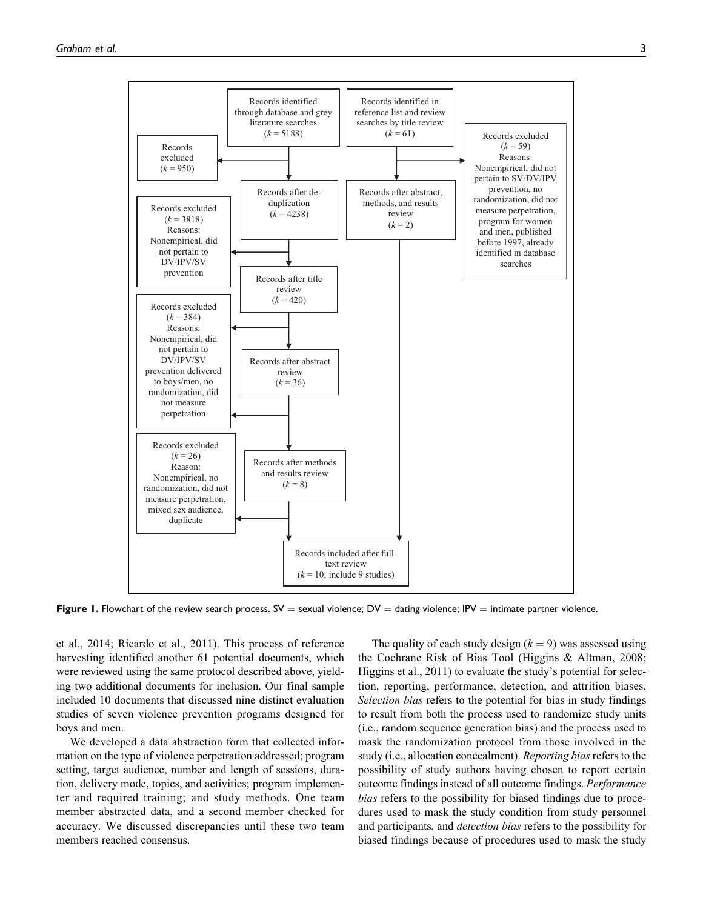

Figure 1. Flowchart of the review search process.  $SV =$  sexual violence;  $DV =$  dating violence; IPV  $=$  intimate partner violence.

et al., 2014; Ricardo et al., 2011). This process of reference harvesting identified another 61 potential documents, which were reviewed using the same protocol described above, yielding two additional documents for inclusion. Our final sample included 10 documents that discussed nine distinct evaluation studies of seven violence prevention programs designed for boys and men.

We developed a data abstraction form that collected information on the type of violence perpetration addressed; program setting, target audience, number and length of sessions, duration, delivery mode, topics, and activities; program implementer and required training; and study methods. One team member abstracted data, and a second member checked for accuracy. We discussed discrepancies until these two team members reached consensus.

The quality of each study design  $(k = 9)$  was assessed using the Cochrane Risk of Bias Tool (Higgins & Altman, 2008; Higgins et al., 2011) to evaluate the study's potential for selection, reporting, performance, detection, and attrition biases. Selection bias refers to the potential for bias in study findings to result from both the process used to randomize study units (i.e., random sequence generation bias) and the process used to mask the randomization protocol from those involved in the study (i.e., allocation concealment). Reporting bias refers to the possibility of study authors having chosen to report certain outcome findings instead of all outcome findings. Performance bias refers to the possibility for biased findings due to procedures used to mask the study condition from study personnel and participants, and detection bias refers to the possibility for biased findings because of procedures used to mask the study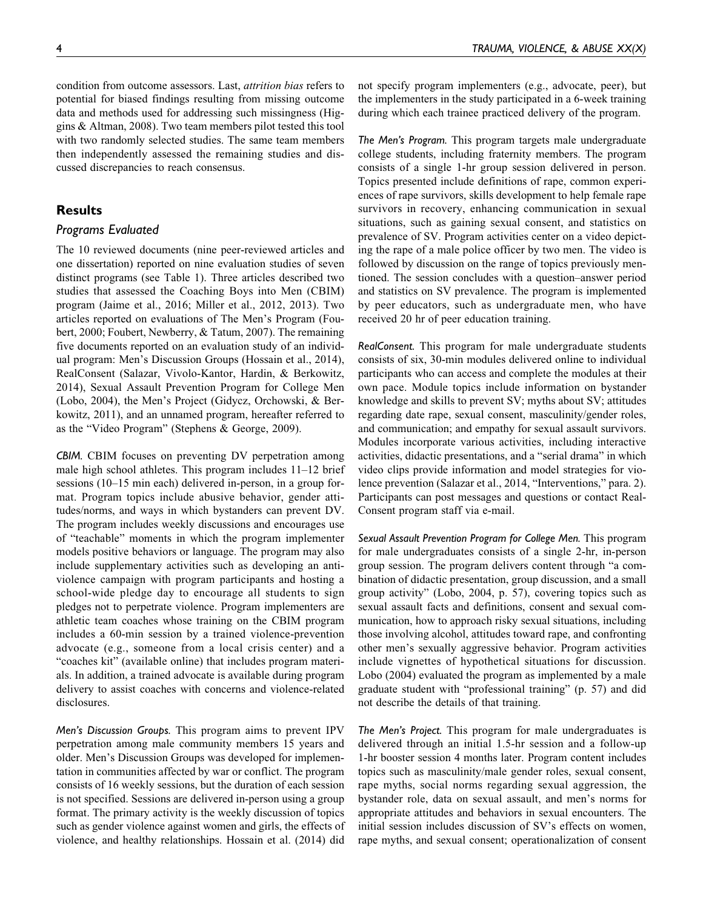condition from outcome assessors. Last, attrition bias refers to potential for biased findings resulting from missing outcome data and methods used for addressing such missingness (Higgins & Altman, 2008). Two team members pilot tested this tool with two randomly selected studies. The same team members then independently assessed the remaining studies and discussed discrepancies to reach consensus.

# **Results**

#### Programs Evaluated

The 10 reviewed documents (nine peer-reviewed articles and one dissertation) reported on nine evaluation studies of seven distinct programs (see Table 1). Three articles described two studies that assessed the Coaching Boys into Men (CBIM) program (Jaime et al., 2016; Miller et al., 2012, 2013). Two articles reported on evaluations of The Men's Program (Foubert, 2000; Foubert, Newberry, & Tatum, 2007). The remaining five documents reported on an evaluation study of an individual program: Men's Discussion Groups (Hossain et al., 2014), RealConsent (Salazar, Vivolo-Kantor, Hardin, & Berkowitz, 2014), Sexual Assault Prevention Program for College Men (Lobo, 2004), the Men's Project (Gidycz, Orchowski, & Berkowitz, 2011), and an unnamed program, hereafter referred to as the "Video Program" (Stephens & George, 2009).

CBIM. CBIM focuses on preventing DV perpetration among male high school athletes. This program includes 11–12 brief sessions (10–15 min each) delivered in-person, in a group format. Program topics include abusive behavior, gender attitudes/norms, and ways in which bystanders can prevent DV. The program includes weekly discussions and encourages use of "teachable" moments in which the program implementer models positive behaviors or language. The program may also include supplementary activities such as developing an antiviolence campaign with program participants and hosting a school-wide pledge day to encourage all students to sign pledges not to perpetrate violence. Program implementers are athletic team coaches whose training on the CBIM program includes a 60-min session by a trained violence-prevention advocate (e.g., someone from a local crisis center) and a "coaches kit" (available online) that includes program materials. In addition, a trained advocate is available during program delivery to assist coaches with concerns and violence-related disclosures.

Men's Discussion Groups. This program aims to prevent IPV perpetration among male community members 15 years and older. Men's Discussion Groups was developed for implementation in communities affected by war or conflict. The program consists of 16 weekly sessions, but the duration of each session is not specified. Sessions are delivered in-person using a group format. The primary activity is the weekly discussion of topics such as gender violence against women and girls, the effects of violence, and healthy relationships. Hossain et al. (2014) did not specify program implementers (e.g., advocate, peer), but the implementers in the study participated in a 6-week training during which each trainee practiced delivery of the program.

The Men's Program. This program targets male undergraduate college students, including fraternity members. The program consists of a single 1-hr group session delivered in person. Topics presented include definitions of rape, common experiences of rape survivors, skills development to help female rape survivors in recovery, enhancing communication in sexual situations, such as gaining sexual consent, and statistics on prevalence of SV. Program activities center on a video depicting the rape of a male police officer by two men. The video is followed by discussion on the range of topics previously mentioned. The session concludes with a question–answer period and statistics on SV prevalence. The program is implemented by peer educators, such as undergraduate men, who have received 20 hr of peer education training.

RealConsent. This program for male undergraduate students consists of six, 30-min modules delivered online to individual participants who can access and complete the modules at their own pace. Module topics include information on bystander knowledge and skills to prevent SV; myths about SV; attitudes regarding date rape, sexual consent, masculinity/gender roles, and communication; and empathy for sexual assault survivors. Modules incorporate various activities, including interactive activities, didactic presentations, and a "serial drama" in which video clips provide information and model strategies for violence prevention (Salazar et al., 2014, "Interventions," para. 2). Participants can post messages and questions or contact Real-Consent program staff via e-mail.

Sexual Assault Prevention Program for College Men. This program for male undergraduates consists of a single 2-hr, in-person group session. The program delivers content through "a combination of didactic presentation, group discussion, and a small group activity" (Lobo, 2004, p. 57), covering topics such as sexual assault facts and definitions, consent and sexual communication, how to approach risky sexual situations, including those involving alcohol, attitudes toward rape, and confronting other men's sexually aggressive behavior. Program activities include vignettes of hypothetical situations for discussion. Lobo (2004) evaluated the program as implemented by a male graduate student with "professional training" (p. 57) and did not describe the details of that training.

The Men's Project. This program for male undergraduates is delivered through an initial 1.5-hr session and a follow-up 1-hr booster session 4 months later. Program content includes topics such as masculinity/male gender roles, sexual consent, rape myths, social norms regarding sexual aggression, the bystander role, data on sexual assault, and men's norms for appropriate attitudes and behaviors in sexual encounters. The initial session includes discussion of SV's effects on women, rape myths, and sexual consent; operationalization of consent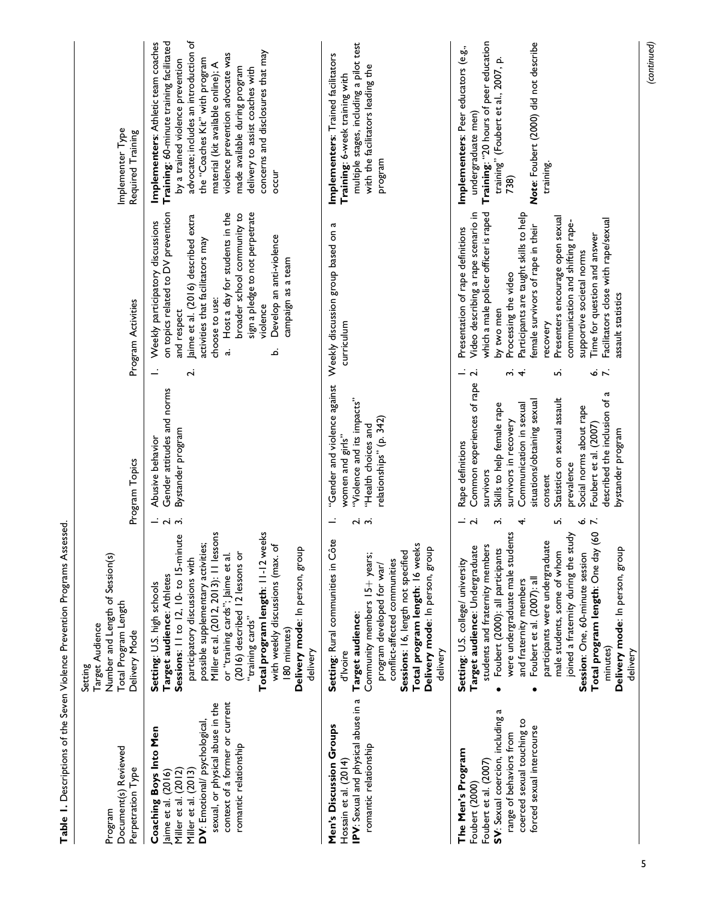| Document(s) Reviewed<br>Perpetration Type<br>Program                                                                                                                                                                         | Number and Length of Session(s)<br>Total Program Length<br>Target Audience<br>Delivery Mode<br>Setting                                                                                                                                                                                                                                                                                                                                                                                      | Program Topics                                                                                                                                                                                                                                                                                                                                                                                          | Program Activities                                                                                                                                                                                                                                                                                                                                                                                                                                                                                                   | Implementer Type<br>Required Training                                                                                                                                                                                                                                                                                                                                                      |
|------------------------------------------------------------------------------------------------------------------------------------------------------------------------------------------------------------------------------|---------------------------------------------------------------------------------------------------------------------------------------------------------------------------------------------------------------------------------------------------------------------------------------------------------------------------------------------------------------------------------------------------------------------------------------------------------------------------------------------|---------------------------------------------------------------------------------------------------------------------------------------------------------------------------------------------------------------------------------------------------------------------------------------------------------------------------------------------------------------------------------------------------------|----------------------------------------------------------------------------------------------------------------------------------------------------------------------------------------------------------------------------------------------------------------------------------------------------------------------------------------------------------------------------------------------------------------------------------------------------------------------------------------------------------------------|--------------------------------------------------------------------------------------------------------------------------------------------------------------------------------------------------------------------------------------------------------------------------------------------------------------------------------------------------------------------------------------------|
| context of a former or current<br>sexual, or physical abuse in the<br>DV: Emotional/ psychological,<br>Coaching Boys Into Men<br>romantic relationship<br>Miller et al. (2013)<br>Miller et al. (2012)<br>aime et al. (2016) | Total program length: 11-12 weeks<br>Miller et al. (2012, 2013): 11 lessons<br>Sessions: 11 to 12, 10- to 15-minute<br>possible supplementary activities;<br>with weekly discussions (max. of<br>Delivery mode: In person, group<br>(2016) described 12 lessons or<br>or "training cards"; Jaime et al.<br>participatory discussions with<br>Target audience: Athletes<br>Setting: U.S. high schools<br>"training cards"<br>180 minutes)<br>delivery                                        | Gender attitudes and norms<br>Bystander program<br>Abusive behavior<br>$ \alpha$ $\alpha$                                                                                                                                                                                                                                                                                                               | sign a pledge to not perpetrate<br>on topics related to DV prevention<br>Host a day for students in the<br>broader school community to<br>Jaime et al. (2016) described extra<br>Weekly participatory discussions<br>Develop an anti-violence<br>activities that facilitators may<br>campaign as a team<br>choose to use:<br>violence<br>and respect<br>.<br>ನ<br>نم<br>$\mathbf{v}$                                                                                                                                 | advocate; includes an introduction of<br>Training: 60-minute training facilitated<br>Implementers: Athletic team coaches<br>concerns and disclosures that may<br>violence prevention advocate was<br>the "Coaches Kit" with program<br>by a trained violence prevention<br>material (kit available online); A<br>made available during program<br>delivery to assist coaches with<br>occur |
| IPV: Sexual and physical abuse in a<br>Men's Discussion Groups<br>romantic relationship<br>Hossain et al. (2014)                                                                                                             | Setting: Rural communities in Côte<br>Total program length: 16 weeks<br>Delivery mode: In person, group<br>Sessions: 16, length not specified<br>Community members 15+ years;<br>conflict-affected communities<br>program developed for war/<br>Target audience:<br>delivery<br>d'Ivoire                                                                                                                                                                                                    | "Gender and violence against<br>"Violence and its impacts"<br>relationships" (p. 342)<br>"Health choices and<br>women and girls"<br>പ്   പ്                                                                                                                                                                                                                                                             | Weekly discussion group based on a<br>curriculum                                                                                                                                                                                                                                                                                                                                                                                                                                                                     | multiple stages, including a pilot test<br>Implementers: Trained facilitators<br>with the facilitators leading the<br>Training: 6-week training with<br>program                                                                                                                                                                                                                            |
| SV: Sexual coercion, including a<br>coerced sexual touching to<br>forced sexual intercourse<br>range of behaviors from<br>The Men's Program<br>Foubert et al. (2007)<br>Foubert (2000)                                       | Total program length: One day (60<br>lents<br>joined a fraternity during the study<br>g<br>students and fraternity members<br>Target audience: Undergraduate<br>Foubert (2000): all participants<br>Delivery mode: In person, group<br>were undergraduate male stud<br>participants were undergradua<br>male students, some of whom<br>Session: One, 60-minute session<br>Setting: U.S. college/ university<br>Foubert et al. (2007): all<br>and fraternity members<br>minutes)<br>delivery | Common experiences of rape<br><b>G</b><br>Statistics on sexual assault<br>described the inclusion of<br>situations/obtaining sexual<br>Skills to help female rape<br>Communication in sexual<br>Social norms about rape<br>survivors in recovery<br>Foubert et al. (2007)<br>bystander program<br>Rape definitions<br>prevalence<br>survivors<br>consent<br>- d<br>$\mathbf{r}$<br>ო<br>4.<br>آما<br>نۍ | which a male policer officer is raped<br>Video describing a rape scenario in<br>Participants are taught skills to help<br>Presenters encourage open sexual<br>Facilitators close with rape/sexual<br>communication and shifting rape-<br>emale survivors of rape in their<br>Presentation of rape definitions<br>Time for question and answer<br>supportive societal norms<br>Processing the video<br>assault statistics<br>by two men<br>recovery<br>نہ ن<br>$\ddot{ }$<br>ِسَ<br>$\mathbf{\tilde{c}}$<br>$\vec{r}$ | Training: "20 hours of peer education<br>Note: Foubert (2000) did not describe<br>Implementers: Peer educators (e.g.,<br>training" (Foubert et al., 2007, p.<br>undergraduate men)<br>training.<br>738)                                                                                                                                                                                    |

Table 1. Descriptions of the Seven Violence Prevention Programs Assessed. Table 1. Descriptions of the Seven Violence Prevention Programs Assessed.

(continued)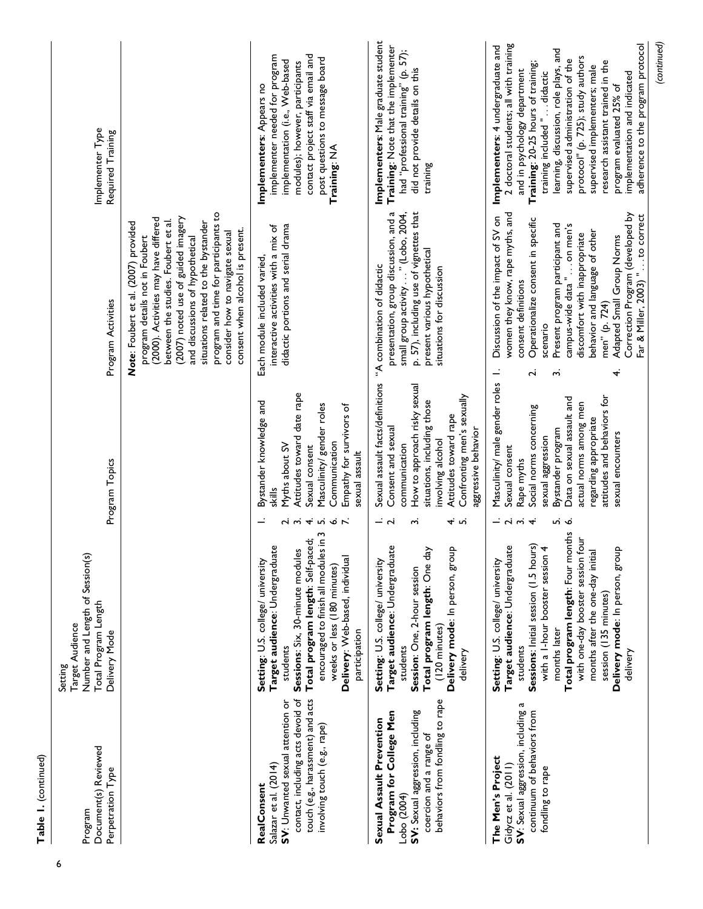| Document(s) Reviewed<br>Perpetration Type<br>Program                                                                                                                                      | Number and Length of Session(s)<br>Total Program Length<br>Target Audience<br>Delivery Mode<br>Setting                                                                                                                                                                                                                                                                   | Program Topics                                                                                                                                                                                                                                                                                            | Program Activities                                                                                                                                                                                                                                                                                                                                                                                                                          | Implementer Type<br>Required Training                                                                                                                                                                                                                                                                                                                                                                                                                                     |
|-------------------------------------------------------------------------------------------------------------------------------------------------------------------------------------------|--------------------------------------------------------------------------------------------------------------------------------------------------------------------------------------------------------------------------------------------------------------------------------------------------------------------------------------------------------------------------|-----------------------------------------------------------------------------------------------------------------------------------------------------------------------------------------------------------------------------------------------------------------------------------------------------------|---------------------------------------------------------------------------------------------------------------------------------------------------------------------------------------------------------------------------------------------------------------------------------------------------------------------------------------------------------------------------------------------------------------------------------------------|---------------------------------------------------------------------------------------------------------------------------------------------------------------------------------------------------------------------------------------------------------------------------------------------------------------------------------------------------------------------------------------------------------------------------------------------------------------------------|
|                                                                                                                                                                                           |                                                                                                                                                                                                                                                                                                                                                                          |                                                                                                                                                                                                                                                                                                           | program and time for participants to<br>(2007) noted use of guided imagery<br>(2000). Activities may have differed<br>between the studies. Foubert et al.<br>Note: Foubert et al. (2007) provided<br>situations related to the bystander<br>consent when alcohol is present.<br>consider how to navigate sexual<br>program details not in Foubert<br>and discussions of hypothetical                                                        |                                                                                                                                                                                                                                                                                                                                                                                                                                                                           |
| contact, including acts devoid of<br>touch (e.g., harassment) and acts<br>SV: Unwanted sexual attention or<br>involving touch (e.g., rape)<br>Salazar et al. (2014)<br><b>RealConsent</b> | م<br>≘.<br>Total program length: Self-paced;<br>Target audience: Undergraduate<br>Sessions: Six, 30-minute modules<br>encouraged to finish all modules<br>Delivery: Web-based, individual<br>Setting: U.S. college/ university<br>weeks or less (180 minutes)<br>participation<br>students                                                                               | Attitudes toward date rape<br>Bystander knowledge and<br>Masculinity/ gender roles<br>Empathy for survivors of<br>Communication<br>Myths about SV<br>Sexual consent<br>sexual assault<br>skills<br>234567                                                                                                 | didactic portions and serial drama<br>interactive activities with a mix of<br>Each module included varied,                                                                                                                                                                                                                                                                                                                                  | contact project staff via email and<br>implementer needed for program<br>post questions to message board<br>implementation (i.e., Web-based<br>modules); however, participants<br>Implementers: Appears no<br>Training: NA                                                                                                                                                                                                                                                |
| behaviors from fondling to rape<br>SV: Sexual aggression, including<br>Program for College Men<br>Sexual Assault Prevention<br>coercion and a range of<br>Lobo (2004)                     | Target audience: Undergraduate<br>Delivery mode: In person, group<br>Total program length: One day<br>Setting: U.S. college/ university<br>Session: One, 2-hour session<br>(120 minutes)<br>students<br>delivery                                                                                                                                                         | Sexual assault facts/definitions<br>How to approach risky sexual<br>Confronting men's sexually<br>situations, including those<br>Attitudes toward rape<br>Consent and sexual<br>aggressive behavior<br>involving alcohol<br>communication<br>$ \overrightarrow{d}$<br>–ு ம<br>m                           | presentation, group discussion, and a<br>p. 57), including use of vignettes that<br>small group activity " (Lobo, 2004,<br>present various hypothetical<br>"A combination of didactic<br>situations for discussion                                                                                                                                                                                                                          | Implementers: Male graduate student<br>Training: Note that the implementer<br>had "professional training" (p. 57);<br>did not provide details on this<br>training                                                                                                                                                                                                                                                                                                         |
| Ч<br>continuum of behaviors from<br>SV: Sexual aggression, including<br>The Men's Project<br>Gidycz et al. $(2011)$<br>fondling to rape                                                   | Total program length: Four months<br>with one-day booster session four<br><b>Sessions:</b> Initial session (I.5 hours)<br>with a 1-hour booster session 4<br>Target audience: Undergraduate<br>Delivery mode: In person, group<br>months after the one-day initial<br>Setting: U.S. college/ university<br>session (135 minutes)<br>months later<br>students<br>delivery | Masculinity/ male gender roles<br>attitudes and behaviors for<br>Data on sexual assault and<br>actual norms among men<br>Social norms concerning<br>regarding appropriate<br>Bystander program<br>sexual encounters<br>sexual aggression<br>Sexual consent<br>Rape myths<br>$ \sim$ $\sim$ $\sim$<br>ம் ம | women they know, rape myths, and<br>Correction Program (developed by<br>Far & Miller, 2003) " to correct<br>to correct<br>Discussion of the impact of SV on<br>Operationalize consent in specific<br>Present program participant and<br>campus-wide data "on men's<br>behavior and language of other<br>discomfort with inappropriate<br>Adapted Small Group Norms<br>consent definitions<br>men" (p. 724)<br>scenario<br>.<br>س<br>4.<br>Ń | 2 doctoral students; all with training<br>adherence to the program protocol<br>Implementers: 4 undergraduate and<br>learning, discussion, role plays, and<br>protocol" (p. 725); study authors<br>supervised administration of the<br>research assistant trained in the<br>Training: 20-25 hours of training;<br>supervised implementers; male<br>and in psychology department<br>training included "didactic<br>implementation and indicated<br>program evaluated 25% of |
|                                                                                                                                                                                           |                                                                                                                                                                                                                                                                                                                                                                          |                                                                                                                                                                                                                                                                                                           |                                                                                                                                                                                                                                                                                                                                                                                                                                             | (continued)                                                                                                                                                                                                                                                                                                                                                                                                                                                               |

Table 1. (continued)

Table 1. (continued)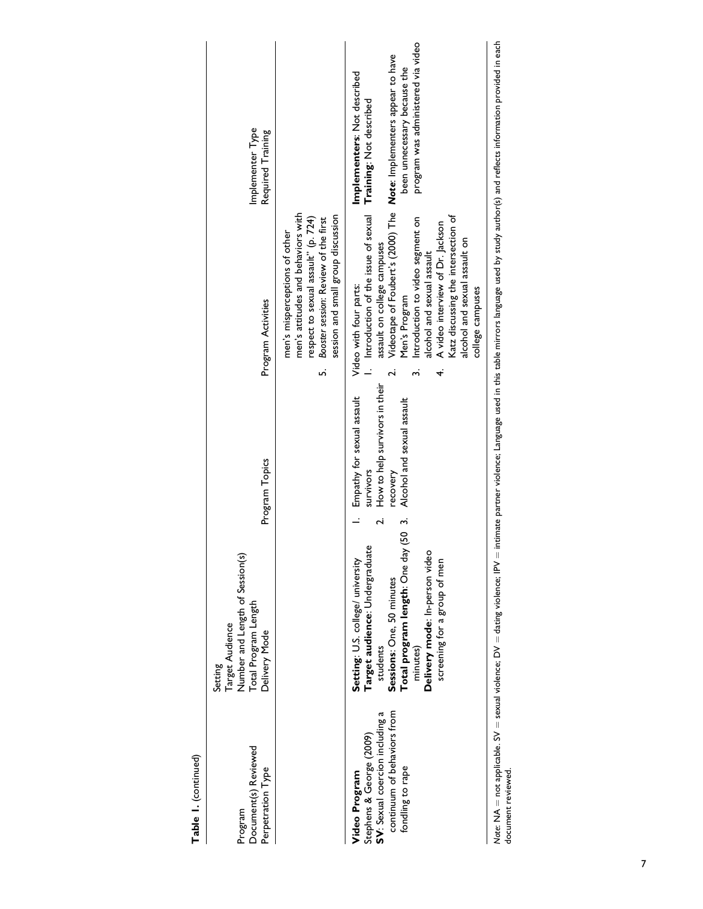|                                                                                                                                                                      | aba e information of the contract the color of the color contract the contract of the color interest contraction of the color of the color of the color of the color of the color of the color of the color of the color of |                                                                                             | Natural AllA — Azərbaycan alizman alizmanı alı alizman DNA alizmanı AllA azərbaycan DNA                                     |                                                                                                                |
|----------------------------------------------------------------------------------------------------------------------------------------------------------------------|-----------------------------------------------------------------------------------------------------------------------------------------------------------------------------------------------------------------------------|---------------------------------------------------------------------------------------------|-----------------------------------------------------------------------------------------------------------------------------|----------------------------------------------------------------------------------------------------------------|
|                                                                                                                                                                      | Katz discussing the intersection of<br>A video interview of Dr. Jackson<br>alcohol and sexual assault on<br>alcohol and sexual assault<br>college campuses<br>4.                                                            |                                                                                             | Delivery mode: In-person video<br>screening for a group of men                                                              |                                                                                                                |
| program was administered via video<br>Videotape of Foubert's (2000) The Note: Implementers appear to have<br>been unnecessary because the<br>Training: Not described | I. Introduction of the issue of sexual<br>Introduction to video segment on<br>assault on college campuses<br>Men's Program                                                                                                  | How to help survivors in their<br>Alcohol and sexual assault<br>survivors<br>recovery<br>نہ | Total program length: One day (50 3.<br>Target audience: Undergraduate<br>Sessions: One, 50 minutes<br>minutes)<br>students | continuum of behaviors from<br>SV: Sexual coercion including a<br>Stephens & George (2009)<br>fondling to rape |
|                                                                                                                                                                      | men's attitudes and behaviors with<br>session and small group discussion<br>respect to sexual assault" (p. 724)<br>Booster session: Review of the first<br>men's misperceptions of other<br>uń                              |                                                                                             |                                                                                                                             |                                                                                                                |
| Implementer Type<br>Required Training                                                                                                                                | Program Activities                                                                                                                                                                                                          | Program Topics                                                                              | Number and Length of Session(s)<br>Total Program Length<br>Target Audience<br>Delivery Mode<br>Setting                      | Document(s) Reviewed<br>Perpetration Type<br>Program                                                           |

Table 1. (continued)

Table 1. (continued)

Note: NA = not applicable. SV = sexual violence; DV = dating violence; IPV = intimate partner violence; Language used in this table mirrors language used by study author(s) and reflects information provided in each<br>documen Note: NA  $=$  not applicable. SV  $=$  sexual violence; DV  $=$  dating violence; IPV  $=$  intimate partner violence; Language used in this table mirrors language used by study author(s) and reflects information provided in eac document reviewed.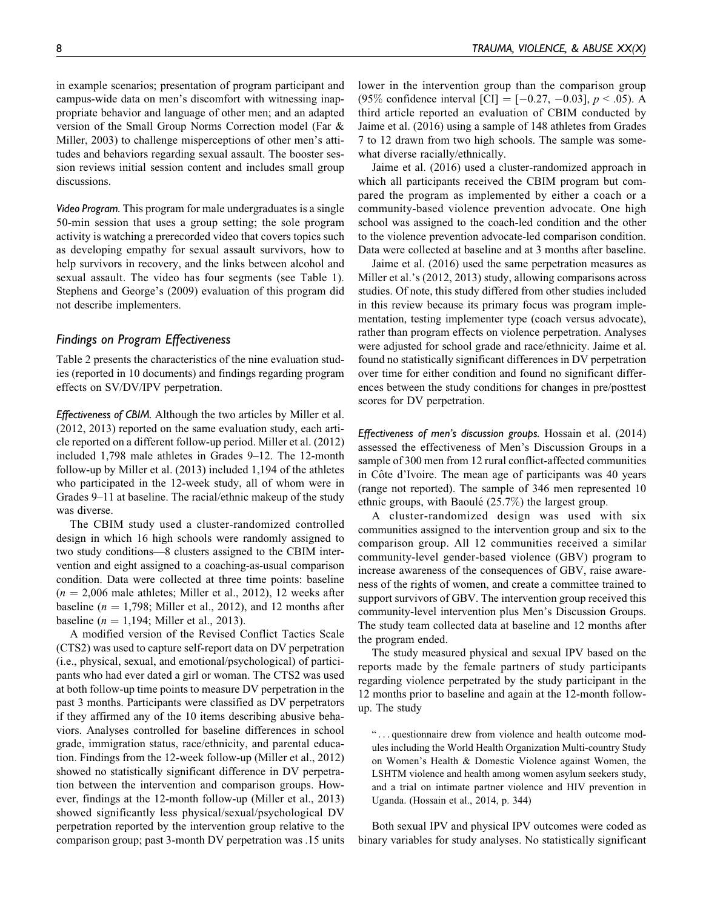in example scenarios; presentation of program participant and campus-wide data on men's discomfort with witnessing inappropriate behavior and language of other men; and an adapted version of the Small Group Norms Correction model (Far & Miller, 2003) to challenge misperceptions of other men's attitudes and behaviors regarding sexual assault. The booster session reviews initial session content and includes small group discussions.

Video Program. This program for male undergraduates is a single 50-min session that uses a group setting; the sole program activity is watching a prerecorded video that covers topics such as developing empathy for sexual assault survivors, how to help survivors in recovery, and the links between alcohol and sexual assault. The video has four segments (see Table 1). Stephens and George's (2009) evaluation of this program did not describe implementers.

## Findings on Program Effectiveness

Table 2 presents the characteristics of the nine evaluation studies (reported in 10 documents) and findings regarding program effects on SV/DV/IPV perpetration.

Effectiveness of CBIM. Although the two articles by Miller et al. (2012, 2013) reported on the same evaluation study, each article reported on a different follow-up period. Miller et al. (2012) included 1,798 male athletes in Grades 9–12. The 12-month follow-up by Miller et al. (2013) included 1,194 of the athletes who participated in the 12-week study, all of whom were in Grades 9–11 at baseline. The racial/ethnic makeup of the study was diverse.

The CBIM study used a cluster-randomized controlled design in which 16 high schools were randomly assigned to two study conditions—8 clusters assigned to the CBIM intervention and eight assigned to a coaching-as-usual comparison condition. Data were collected at three time points: baseline  $(n = 2,006$  male athletes; Miller et al., 2012), 12 weeks after baseline ( $n = 1,798$ ; Miller et al., 2012), and 12 months after baseline ( $n = 1,194$ ; Miller et al., 2013).

A modified version of the Revised Conflict Tactics Scale (CTS2) was used to capture self-report data on DV perpetration (i.e., physical, sexual, and emotional/psychological) of participants who had ever dated a girl or woman. The CTS2 was used at both follow-up time points to measure DV perpetration in the past 3 months. Participants were classified as DV perpetrators if they affirmed any of the 10 items describing abusive behaviors. Analyses controlled for baseline differences in school grade, immigration status, race/ethnicity, and parental education. Findings from the 12-week follow-up (Miller et al., 2012) showed no statistically significant difference in DV perpetration between the intervention and comparison groups. However, findings at the 12-month follow-up (Miller et al., 2013) showed significantly less physical/sexual/psychological DV perpetration reported by the intervention group relative to the comparison group; past 3-month DV perpetration was .15 units lower in the intervention group than the comparison group (95% confidence interval [CI] =  $[-0.27, -0.03]$ ,  $p < .05$ ). A third article reported an evaluation of CBIM conducted by Jaime et al. (2016) using a sample of 148 athletes from Grades 7 to 12 drawn from two high schools. The sample was somewhat diverse racially/ethnically.

Jaime et al. (2016) used a cluster-randomized approach in which all participants received the CBIM program but compared the program as implemented by either a coach or a community-based violence prevention advocate. One high school was assigned to the coach-led condition and the other to the violence prevention advocate-led comparison condition. Data were collected at baseline and at 3 months after baseline.

Jaime et al. (2016) used the same perpetration measures as Miller et al.'s (2012, 2013) study, allowing comparisons across studies. Of note, this study differed from other studies included in this review because its primary focus was program implementation, testing implementer type (coach versus advocate), rather than program effects on violence perpetration. Analyses were adjusted for school grade and race/ethnicity. Jaime et al. found no statistically significant differences in DV perpetration over time for either condition and found no significant differences between the study conditions for changes in pre/posttest scores for DV perpetration.

Effectiveness of men's discussion groups. Hossain et al. (2014) assessed the effectiveness of Men's Discussion Groups in a sample of 300 men from 12 rural conflict-affected communities in Côte d'Ivoire. The mean age of participants was 40 years (range not reported). The sample of 346 men represented 10 ethnic groups, with Baoulé  $(25.7\%)$  the largest group.

A cluster-randomized design was used with six communities assigned to the intervention group and six to the comparison group. All 12 communities received a similar community-level gender-based violence (GBV) program to increase awareness of the consequences of GBV, raise awareness of the rights of women, and create a committee trained to support survivors of GBV. The intervention group received this community-level intervention plus Men's Discussion Groups. The study team collected data at baseline and 12 months after the program ended.

The study measured physical and sexual IPV based on the reports made by the female partners of study participants regarding violence perpetrated by the study participant in the 12 months prior to baseline and again at the 12-month followup. The study

" ... questionnaire drew from violence and health outcome modules including the World Health Organization Multi-country Study on Women's Health & Domestic Violence against Women, the LSHTM violence and health among women asylum seekers study, and a trial on intimate partner violence and HIV prevention in Uganda. (Hossain et al., 2014, p. 344)

Both sexual IPV and physical IPV outcomes were coded as binary variables for study analyses. No statistically significant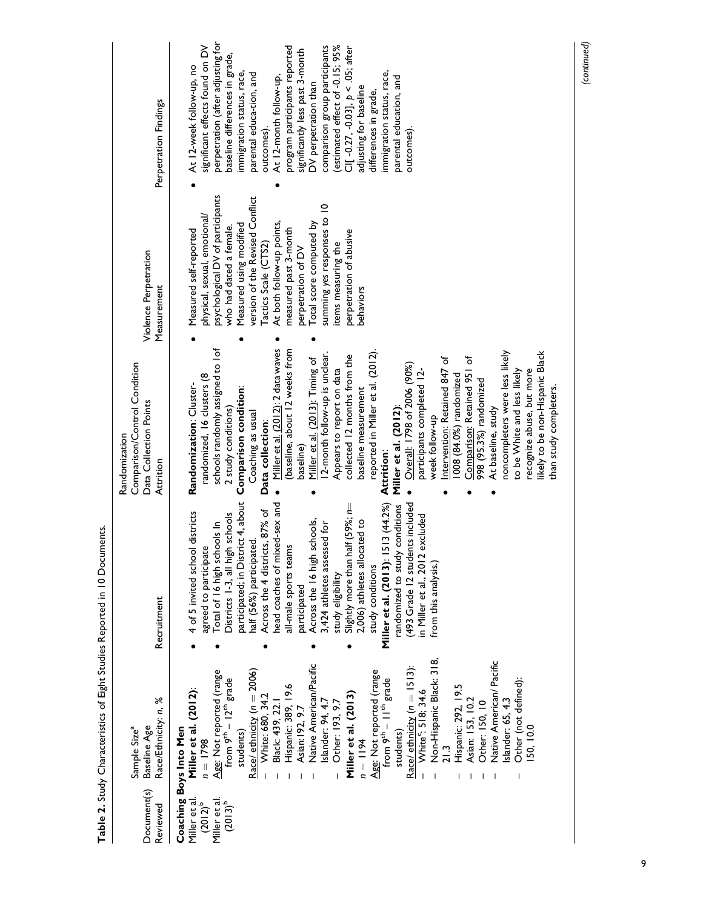| Document(s)<br>Reviewed                                                                         | Race/Ethnicity: n, %<br>Baseline Age<br>Sample Size <sup>a</sup>                                                                                                                                                                                                                                                                                                                                                                                                                                                                                                                                                                                                                                 | Recruitment                                                                                                                                                                                                                                                                                                                                                                                                                                                                                                                                                                                                                                                              | Comparison/Control Condition<br>Data Collection Points<br>Randomization<br>Attrition                                                                                                                                                                                                                                                                                                                                                                                                                                                                                                                                                                                                                                                                                                                                                                                                              | Violence Perpetration<br>Measurement                                                                                                                                                                                                                                                                                                                                                                             | Perpetration Findings                                                                                                                                                                                                                                                                                                                                                                                                                                                                                                                                             |
|-------------------------------------------------------------------------------------------------|--------------------------------------------------------------------------------------------------------------------------------------------------------------------------------------------------------------------------------------------------------------------------------------------------------------------------------------------------------------------------------------------------------------------------------------------------------------------------------------------------------------------------------------------------------------------------------------------------------------------------------------------------------------------------------------------------|--------------------------------------------------------------------------------------------------------------------------------------------------------------------------------------------------------------------------------------------------------------------------------------------------------------------------------------------------------------------------------------------------------------------------------------------------------------------------------------------------------------------------------------------------------------------------------------------------------------------------------------------------------------------------|---------------------------------------------------------------------------------------------------------------------------------------------------------------------------------------------------------------------------------------------------------------------------------------------------------------------------------------------------------------------------------------------------------------------------------------------------------------------------------------------------------------------------------------------------------------------------------------------------------------------------------------------------------------------------------------------------------------------------------------------------------------------------------------------------------------------------------------------------------------------------------------------------|------------------------------------------------------------------------------------------------------------------------------------------------------------------------------------------------------------------------------------------------------------------------------------------------------------------------------------------------------------------------------------------------------------------|-------------------------------------------------------------------------------------------------------------------------------------------------------------------------------------------------------------------------------------------------------------------------------------------------------------------------------------------------------------------------------------------------------------------------------------------------------------------------------------------------------------------------------------------------------------------|
| Coaching Boys Into Men<br>Miller et al.<br>(2012) <sup>b</sup><br>Miller et al.<br>$(2013)^{b}$ | Non-Hispanic Black: 318,<br>Native American/ Pacific<br>Native American/Pacific<br>Race/ ethnicity $(n = 1513)$ :<br>Race/ ethnicity (n = 2006)<br>$\frac{\text{Age: Not reported (range}}{\text{from 9}} - 12^{\text{th}} \text{ grade}}$<br>Age: Not reported (range<br>from $9th - 11th$ grade<br>Other (not defined):<br>Hispanic: 389, 19.6<br>Hispanic: 292, 19.5<br>Miller et al. (2012):<br>White <sup>c</sup> : 518; 34.6<br>Miller et al. (2013)<br>White: 680, 34.2<br>Asian: 153, 10.2<br>slander: 65, 4.3<br>Islander: 94, 4.7<br>Other: 193, 9.7<br>Other: 150, 10<br>Black: 439, 22.<br>Asian: 192, 9.7<br>50, 10.0<br>students)<br>students)<br>$n = 1194$<br>$n = 1798$<br>21.3 | participated; in District 4, about<br>Miller et al. (2013): 1513 (44.2%)<br>(493 Grade 12 students included<br>ed-sex and<br>Slightly more than half (59%; n=<br>randomized to study conditions<br>Across the 4 districts, 87% of<br>districts<br>Districts 1-3, all high schools<br>excluded<br>schools,<br>2,006) athletes allocated to<br>Total of 16 high schools In<br>3,424 athletes assessed for<br>half (56%) participated.<br>all-male sports teams<br>4 of 5 invited school<br>agreed to participate<br>nead coaches of mix<br>Across the 16 high s<br>in Miller et al., 2012<br>from this analysis.)<br>study conditions<br>study eligibility<br>participated | Miller et al. (2012): 2 data waves<br>schools randomly assigned to lof<br>(baseline, about 12 weeks from<br>ikely to be non-Hispanic Black<br>12-month follow-up is unclear.<br>reported in Miller et al. (2012).<br>noncompleters were less likely<br>collected 12 months from the<br>Intervention: Retained 847 of<br>Comparison: Retained 951 of<br>Miller et al. (2013): Timing of<br>Overall: 1798 of 2006 (90%)<br>Appears to report on data<br>to be White and less likely<br>recognize abuse, but more<br>participants completed 12-<br>randomized, 16 clusters (8<br>1008 (84.0%) randomized<br>998 (95.3%) randomized<br>Randomization: Cluster-<br>Comparison condition:<br>than study completers.<br>baseline measurement<br>Miller et al. (2012):<br>At baseline, study<br>2 study conditions)<br>Coaching as usual<br>week follow-up<br>Data collection:<br>baseline)<br>Attrition: | psychological DV of participants<br>version of the Revised Conflict<br>summing yes responses to 10<br>physical, sexual, emotional/<br>At both follow-up points,<br>perpetration of DV<br>Total score computed by<br>Measured using modified<br>who had dated a female.<br>measured past 3-month<br>Measured self-reported<br>perpetration of abusive<br>Tactics Scale (CTS2)<br>items measuring the<br>behaviors | perpetration (after adjusting for<br>estimated effect of -0.15; 95%<br>significant effects found on DV<br>program participants reported<br>comparison group participants<br>CI[-0.27, -0.03], $p < .05$ ; after<br>significantly less past 3-month<br>baseline differences in grade,<br>At 12-week follow-up, no<br>immigration status, race,<br>immigration status, race,<br>parental educa-tion, and<br>At 12-month follow-up,<br>parental education, and<br>DV perpetration than<br>adjusting for baseline<br>differences in grade,<br>outcomes).<br>outcomes) |

Table 2. Study Characteristics of Eight Studies Reported in 10 Documents. Table 2. Study Characteristics of Eight Studies Reported in 10 Documents.

(continued)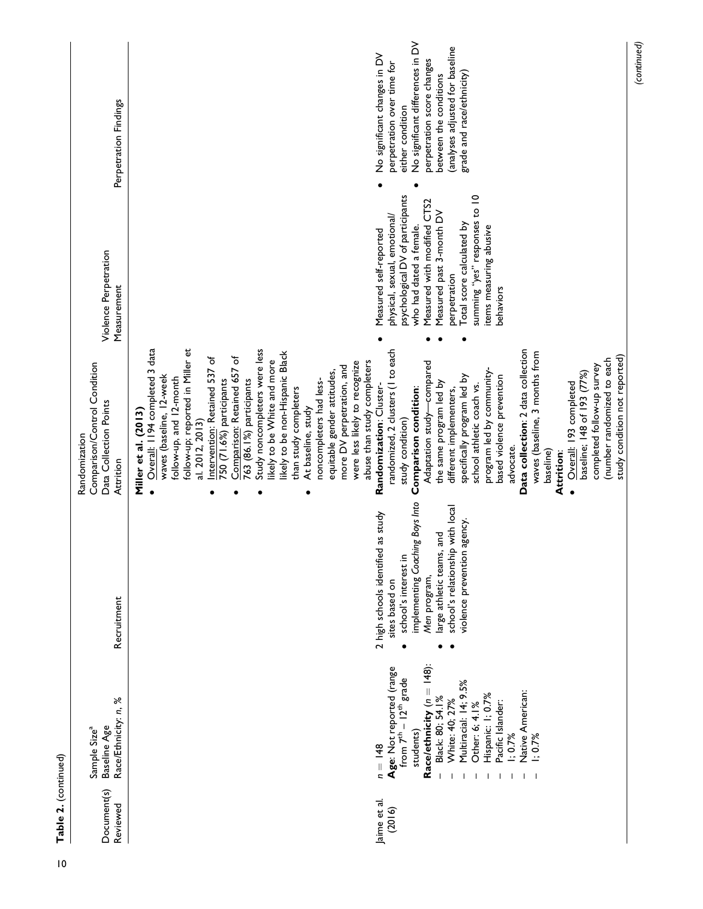| Table 2. (continued)    |                                                                                                                                                                                                                                                                                     |                                                                                                                                                                                                                                 |                                                                                                                                                                                                                                                                                                                                                                                                                                                                                                                                                                                                                                                                                                                                                                                                                                                                                                                                                                                                                                                                                                                                                                                                        |                                                                                                                                                                                                                                                                                                        |                                                                                                                                                                                                                                            |
|-------------------------|-------------------------------------------------------------------------------------------------------------------------------------------------------------------------------------------------------------------------------------------------------------------------------------|---------------------------------------------------------------------------------------------------------------------------------------------------------------------------------------------------------------------------------|--------------------------------------------------------------------------------------------------------------------------------------------------------------------------------------------------------------------------------------------------------------------------------------------------------------------------------------------------------------------------------------------------------------------------------------------------------------------------------------------------------------------------------------------------------------------------------------------------------------------------------------------------------------------------------------------------------------------------------------------------------------------------------------------------------------------------------------------------------------------------------------------------------------------------------------------------------------------------------------------------------------------------------------------------------------------------------------------------------------------------------------------------------------------------------------------------------|--------------------------------------------------------------------------------------------------------------------------------------------------------------------------------------------------------------------------------------------------------------------------------------------------------|--------------------------------------------------------------------------------------------------------------------------------------------------------------------------------------------------------------------------------------------|
| Document(s)<br>Reviewed | Race/Ethnicity: n, %<br>Baseline Age<br>Sample Size <sup>a</sup>                                                                                                                                                                                                                    | Recruitment                                                                                                                                                                                                                     | Comparison/Control Condition<br>Data Collection Points<br>Randomization<br>Attrition                                                                                                                                                                                                                                                                                                                                                                                                                                                                                                                                                                                                                                                                                                                                                                                                                                                                                                                                                                                                                                                                                                                   | Violence Perpetration<br>Measurement                                                                                                                                                                                                                                                                   | Perpetration Findings                                                                                                                                                                                                                      |
| Jaime et al.<br>(2016)  | Race/ethnicity ( $n = 148$ ):<br>Age: Not reported (range<br>from $7th - 12th$ grade<br>Multiracial: 14; 9.5%<br>Native American:<br>Hispanic: 1; 0.7%<br>Black: 80; 54.1%<br>White: 40; 27%<br>Pacific Islander:<br>Other: 6; 4.1%<br>students)<br>1; 0.7%<br>1; 0.7%<br>$n = 148$ | implementing Coaching Boys Into<br>school's relationship with local<br>2 high schools identified as study<br>violence prevention agency.<br>large athletic teams, and<br>school's interest in<br>Men program,<br>sites based on | Study noncompleters were less<br>Data collection: 2 data collection<br>Overall: II94 completed 3 data<br>randomized, 2 clusters (I to each<br>follow-up; reported in Miller et<br>likely to be non-Hispanic Black<br>waves (baseline, 3 months from<br>study condition not reported)<br>Intervention: Retained 537 of<br>Comparison: Retained 657 of<br>(number randomized to each<br>ikely to be White and more<br>abuse than study completers<br>Adaptation study-compared<br>were less likely to recognize<br>more DV perpetration, and<br>completed follow-up survey<br>program led by community-<br>equitable gender attitudes,<br>baseline; 148 of 193 (77%)<br>waves (baseline, 12-week<br>specifically program led by<br>based violence prevention<br>follow-up, and 12-month<br>750 (71.6%) participants<br>noncompleters had less-<br>763 (86.1%) participants<br>the same program led by<br>Overall: 193 completed<br>Randomization: Cluster-<br>school athletic coach vs.<br>Comparison condition:<br>than study completers<br>different implementers,<br>At baseline, study<br>Miller et al. (2013)<br>al. 2012, 2013)<br>study condition)<br>advocate.<br>baseline)<br><b>Attrition:</b> | psychological DV of participants<br>summing "yes" responses to 10<br>Measured with modified CTS2<br>Measured past 3-month DV<br>physical, sexual, emotional/<br>Total score calculated by<br>who had dated a female.<br>items measuring abusive<br>Measured self-reported<br>perpetration<br>behaviors | No significant differences in DV<br>(analyses adjusted for baseline<br>No significant changes in DV<br>perpetration score changes<br>perpetration over time for<br>grade and race/ethnicity)<br>between the conditions<br>either condition |

(continued)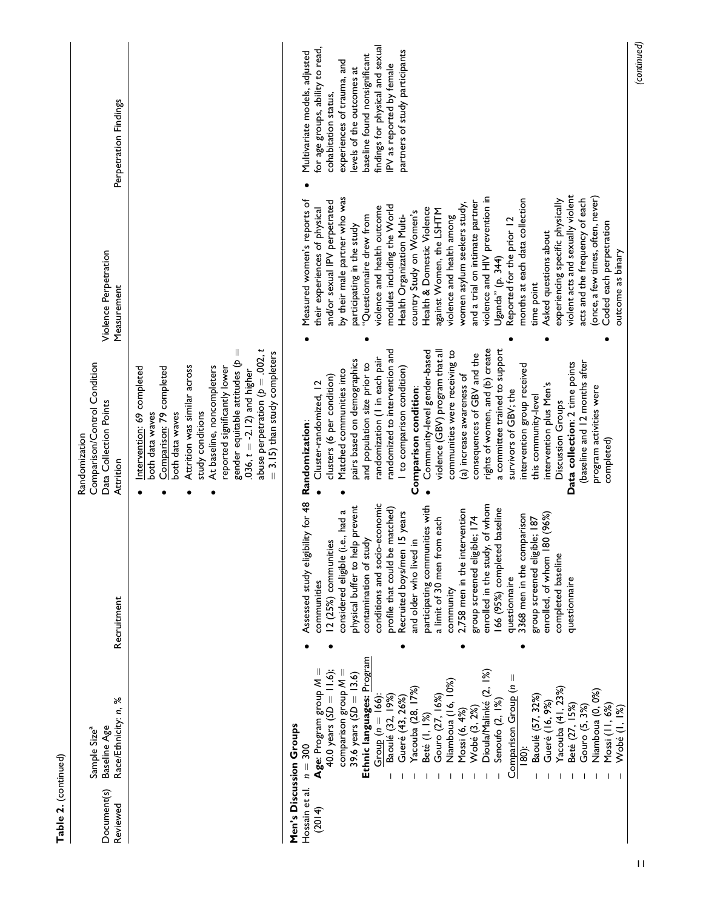| Table 2. (continued)     |                                                                                                                                                                                                                                                                                                                                                                                                                                                                                                                                                                                                                                     |                                                                                                                                                                                                                                                                                                                                                                                                                                                                                                                                                                                                                                                                                |                                                                                                                                                                                                                                                                                                                                                                                                                                                                                                                                                                                                                                                                                                                                                                              |                                                                                                                                                                                                                                                                                                                                                                                                                                                                                                                                                                                                                                                                                                                                                                                                                                       |                                                                                                                                                                                                                                                                                         |
|--------------------------|-------------------------------------------------------------------------------------------------------------------------------------------------------------------------------------------------------------------------------------------------------------------------------------------------------------------------------------------------------------------------------------------------------------------------------------------------------------------------------------------------------------------------------------------------------------------------------------------------------------------------------------|--------------------------------------------------------------------------------------------------------------------------------------------------------------------------------------------------------------------------------------------------------------------------------------------------------------------------------------------------------------------------------------------------------------------------------------------------------------------------------------------------------------------------------------------------------------------------------------------------------------------------------------------------------------------------------|------------------------------------------------------------------------------------------------------------------------------------------------------------------------------------------------------------------------------------------------------------------------------------------------------------------------------------------------------------------------------------------------------------------------------------------------------------------------------------------------------------------------------------------------------------------------------------------------------------------------------------------------------------------------------------------------------------------------------------------------------------------------------|---------------------------------------------------------------------------------------------------------------------------------------------------------------------------------------------------------------------------------------------------------------------------------------------------------------------------------------------------------------------------------------------------------------------------------------------------------------------------------------------------------------------------------------------------------------------------------------------------------------------------------------------------------------------------------------------------------------------------------------------------------------------------------------------------------------------------------------|-----------------------------------------------------------------------------------------------------------------------------------------------------------------------------------------------------------------------------------------------------------------------------------------|
| Document(s)<br>Reviewed  | Race/Ethnicity: n, %<br>Baseline Age<br>Sample Size <sup>a</sup>                                                                                                                                                                                                                                                                                                                                                                                                                                                                                                                                                                    | Recruitment                                                                                                                                                                                                                                                                                                                                                                                                                                                                                                                                                                                                                                                                    | Comparison/Control Condition<br>Data Collection Points<br>Randomization<br>Attrition                                                                                                                                                                                                                                                                                                                                                                                                                                                                                                                                                                                                                                                                                         | Violence Perpetration<br>Measurement                                                                                                                                                                                                                                                                                                                                                                                                                                                                                                                                                                                                                                                                                                                                                                                                  | Perpetration Findings                                                                                                                                                                                                                                                                   |
|                          |                                                                                                                                                                                                                                                                                                                                                                                                                                                                                                                                                                                                                                     |                                                                                                                                                                                                                                                                                                                                                                                                                                                                                                                                                                                                                                                                                | abuse perpetration ( $p = .002$ , t<br>Ш<br>3.15) than study completers<br>gender equitable attitudes (p<br>Attrition was similar across<br>At baseline, noncompleters<br>Comparison: 79 completed<br>reported significantly lower<br>Intervention: 69 completed<br>.036, $t = -2.12$ ) and higher<br>study conditions<br>both data waves<br>both data waves                                                                                                                                                                                                                                                                                                                                                                                                                 |                                                                                                                                                                                                                                                                                                                                                                                                                                                                                                                                                                                                                                                                                                                                                                                                                                       |                                                                                                                                                                                                                                                                                         |
| Hossain et al.<br>(2014) | Ethnic languages: Program<br>$\mathsf{Age}$ : Program group $\mathcal{M}=$<br>40.0 years $(SD = 11.6)$ ;<br>Dioula/Malinké (2, 1%)<br>comparison group $M =$<br>39.6 years (SD = $13.6$ )<br>Comparison Group ( $n =$<br>Niamboua (16, 10%)<br>Yacouba (41, 23%)<br>Beté (27, 15%)<br>Yacouba (28, 17%)<br>Niamboua (0, 0%)<br>$Group (n = 166):$<br>Baoulé (32, 19%)<br>Gouro (27, 16%)<br>Baoulé (57, 32%)<br>Gueré (43, 26%)<br>Senoufo (2, 1%)<br>Gueré (16, 9%)<br>Mossi (11, 6%)<br>Gouro (5, 3%)<br>Wobé (3, 2%)<br>Wobé (I, 1%)<br>Mossi (6, 4%)<br>Beté (I, 1%)<br>Men's Discussion Groups<br>$n = 300$<br>$\frac{180}{2}$ | Assessed study eligibility for 48<br>conditions and socio-economic<br>enrolled in the study, of whom<br>physical buffer to help prevent<br>participating communities with<br>profile that could be matched)<br>166 (95%) completed baseline<br>2,758 men in the intervention<br>considered eligible (i.e., had a<br>Recruited boys/men 15 years<br>180 (96%)<br>3368 men in the comparison<br>group screened eligible; 174<br>group screened eligible; 187<br>a limit of 30 men from each<br>and older who lived in<br>contamination of study<br>12 (25%) communities<br>completed baseline<br>enrolled, of whom<br>questionnaire<br>questionnaire<br>communities<br>community | a committee trained to support<br>rights of women, and (b) create<br>randomized to intervention and<br>Community-level gender-based<br>violence (GBV) program that all<br>communities were receiving to<br>consequences of GBV and the<br>randomization (I in each pair<br>pairs based on demographics<br>(baseline and 12 months after<br>Data collection: 2 time points<br>and population size prior to<br>intervention group received<br>I to comparison condition)<br>Matched communities into<br>(a) increase awareness of<br>clusters (6 per condition)<br>Cluster-randomized, 12<br>intervention plus Men's<br>program activities were<br>Comparison condition:<br>survivors of GBV; the<br>this community-level<br>Discussion Groups<br>Randomization:<br>completed) | violent acts and sexually violent<br>(once, a few times, often, never)<br>violence and HIV prevention in<br>by their male partner who was<br>months at each data collection<br>experiencing specific physically<br>acts and the frequency of each<br>Measured women's reports of<br>and/or sexual IPV perpetrated<br>and a trial on intimate partner<br>women asylum seekers study,<br>modules including the World<br>violence and health outcome<br>their experiences of physical<br>Health & Domestic Violence<br>against Women, the LSHTM<br>country Study on Women's<br>"Questionnaire drew from<br>Health Organization Multi-<br>violence and health among<br>Reported for the prior 12<br>Coded each perpetration<br>participating in the study<br>Asked questions about<br>outcome as binary<br>Uganda" (p. 344)<br>time point | findings for physical and sexual<br>for age groups, ability to read,<br>partners of study participants<br>Multivariate models, adjusted<br>baseline found nonsignificant<br>experiences of trauma, and<br>IPV as reported by female<br>evels of the outcomes at<br>cohabitation status, |
|                          |                                                                                                                                                                                                                                                                                                                                                                                                                                                                                                                                                                                                                                     |                                                                                                                                                                                                                                                                                                                                                                                                                                                                                                                                                                                                                                                                                |                                                                                                                                                                                                                                                                                                                                                                                                                                                                                                                                                                                                                                                                                                                                                                              |                                                                                                                                                                                                                                                                                                                                                                                                                                                                                                                                                                                                                                                                                                                                                                                                                                       | (continued)                                                                                                                                                                                                                                                                             |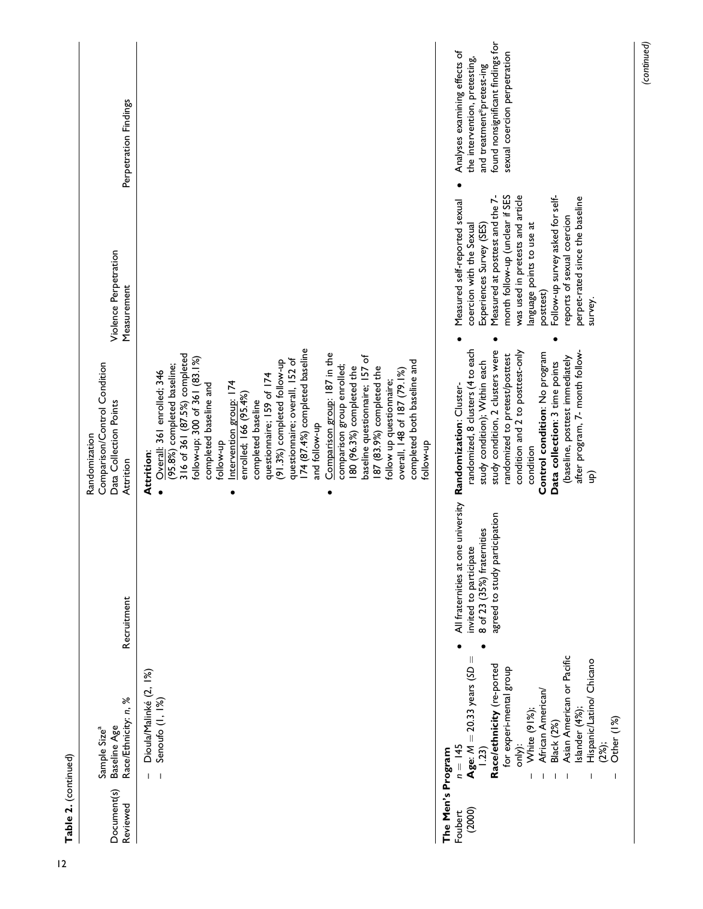| Table 2. (continued)                   |                                                                                                                                                                                                                                                                                                     |                                                                                                                             |                                                                                                                                                                                                                                                                                                                                                                                                                                                                                                                                                                                                                                                                                                     |                                                                                                                                                                                                                                                                                                                                                           |                                                                                                                                                                  |
|----------------------------------------|-----------------------------------------------------------------------------------------------------------------------------------------------------------------------------------------------------------------------------------------------------------------------------------------------------|-----------------------------------------------------------------------------------------------------------------------------|-----------------------------------------------------------------------------------------------------------------------------------------------------------------------------------------------------------------------------------------------------------------------------------------------------------------------------------------------------------------------------------------------------------------------------------------------------------------------------------------------------------------------------------------------------------------------------------------------------------------------------------------------------------------------------------------------------|-----------------------------------------------------------------------------------------------------------------------------------------------------------------------------------------------------------------------------------------------------------------------------------------------------------------------------------------------------------|------------------------------------------------------------------------------------------------------------------------------------------------------------------|
| Document(s)<br>Reviewed                | Race/Ethnicity: n, %<br>Baseline Age<br>Sample Size <sup>a</sup>                                                                                                                                                                                                                                    | Recruitment                                                                                                                 | Comparison/Control Condition<br>Data Collection Points<br>Randomization<br>Attrition                                                                                                                                                                                                                                                                                                                                                                                                                                                                                                                                                                                                                | Violence Perpetration<br>Measurement                                                                                                                                                                                                                                                                                                                      | Perpetration Findings                                                                                                                                            |
|                                        | Dioula/Malinké (2, 1%)<br>Senoufo (I, 1%)<br>$\overline{\phantom{0}}$<br>L                                                                                                                                                                                                                          |                                                                                                                             | 174 (87.4%) completed baseline<br>316 of 361 (87.5%) completed<br>Comparison group: 187 in the<br>baseline questionnaire; 157 of<br>follow-up; 300 of 361 (83.1%)<br>questionnaire; overall, 152 of<br>(91.3%) completed follow-up<br>completed both baseline and<br>(95.8%) completed baseline;<br>comparison group enrolled;<br>80 (96.3%) completed the<br>187 (83.9%) completed the<br>overall, 148 of 187 (79.1%)<br>Overall: 361 enrolled; 346<br>questionnaire; 159 of 174<br>follow up questionnaire;<br>Intervention group: 174<br>completed baseline and<br>enrolled; 166 (95.4%)<br>completed baseline<br>and follow-up<br>follow-up<br>follow-up<br><b>Attrition:</b><br>$\bullet$<br>٠ |                                                                                                                                                                                                                                                                                                                                                           |                                                                                                                                                                  |
| The Men's Program<br>(2000)<br>Foubert | Asian American or Pacific<br>Age: $M = 20.33$ years (SD =<br>Hispanic/Latino/ Chicano<br>Race/ethnicity (re-ported<br>for experi-mental group<br>African American/<br>slander (4%);<br>White (91%);<br>Other (1%)<br>Black (2%)<br>only):<br>(2%)<br>$n = 145$<br>1.23)<br>$\overline{\phantom{a}}$ | All fraternities at one university<br>agreed to study participation<br>8 of 23 (35%) fraternities<br>invited to participate | randomized, 8 clusters (4 to each<br>study condition, 2 clusters were<br>after program, 7- month follow-<br>condition and 2 to posttest-only<br>randomized to pretest/posttest<br>Control condition: No program<br>(baseline, posttest immediately<br>study condition); Within each<br>Data collection: 3 time points<br>Randomization: Cluster-<br>condition<br>ê                                                                                                                                                                                                                                                                                                                                  | was used in pretests and article<br>Follow-up survey asked for self-<br>Measured at posttest and the 7-<br>month follow-up (unclear if SES<br>perpet-rated since the baseline<br>Measured self-reported sexual<br>reports of sexual coercion<br>language points to use at<br>Experiences Survey (SES)<br>coercion with the Sexual<br>posttest)<br>survey. | found nonsignificant findings for<br>Analyses examining effects of<br>sexual coercion perpetration<br>the intervention, pretesting,<br>and treatment*pretest-ing |

(continued)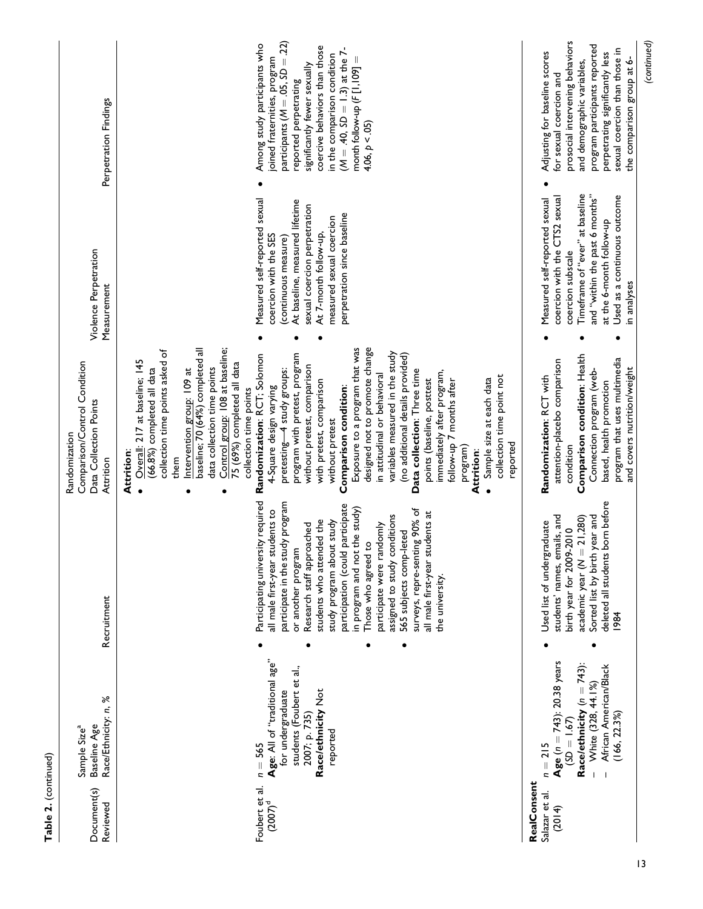| Document(s)<br>Reviewed                 | Race/Ethnicity: n, %<br>Baseline Age<br>Sample Size <sup>a</sup>                                                                                                          | Recruitment                                                                                                                                                                                                                                                                                                                                                                                                                                                                                      | Comparison/Control Condition<br>Data Collection Points<br>Randomization<br>Attrition                                                                                                                                                                                                                                                                                                                                                                                                                                                                                                                                                                                                                                                                                                                                                                                                                                                                            | Violence Perpetration<br>Measurement                                                                                                                                                                                                 | Perpetration Findings                                                                                                                                                                                                                                                                                                 |
|-----------------------------------------|---------------------------------------------------------------------------------------------------------------------------------------------------------------------------|--------------------------------------------------------------------------------------------------------------------------------------------------------------------------------------------------------------------------------------------------------------------------------------------------------------------------------------------------------------------------------------------------------------------------------------------------------------------------------------------------|-----------------------------------------------------------------------------------------------------------------------------------------------------------------------------------------------------------------------------------------------------------------------------------------------------------------------------------------------------------------------------------------------------------------------------------------------------------------------------------------------------------------------------------------------------------------------------------------------------------------------------------------------------------------------------------------------------------------------------------------------------------------------------------------------------------------------------------------------------------------------------------------------------------------------------------------------------------------|--------------------------------------------------------------------------------------------------------------------------------------------------------------------------------------------------------------------------------------|-----------------------------------------------------------------------------------------------------------------------------------------------------------------------------------------------------------------------------------------------------------------------------------------------------------------------|
| Foubert et al.<br>$(2007)^d$            | Age: All of "traditional age"<br>students (Foubert et al.,<br>Race/ethnicity Not<br>for undergraduate<br>2007; p. 735)<br>reported<br>$=$ 565<br>$\overline{\phantom{a}}$ | Participating university required<br>participate in the study program<br>participation (could participate<br>in program and not the study)<br>surveys, repre-senting 90% of<br>all male first-year students to<br>all male first-year students at<br>assigned to study conditions<br>students who attended the<br>study program about study<br>Research staff approached<br>participate were randomly<br>565 subjects comp-leted<br>Those who agreed to<br>or another program<br>the university. | Control group: 108 at baseline;<br>designed not to promote change<br>baseline; 70 (64%) completed all<br>Exposure to a program that was<br>collection time points asked of<br>variables measured in the study<br>Randomization: RCT; Solomon<br>program with pretest, program<br>(no additional details provided)<br>Overall: 217 at baseline; 145<br>75 (69%) completed all data<br>without pretest, comparison<br>data collection time points<br>(66.8%) completed all data<br>pretesting-4 study groups:<br>Intervention group: 109 at<br>Data collection: Three time<br>immediately after program,<br>in attitudinal or behavioral<br>collection time point not<br>points (baseline, posttest<br>Sample size at each data<br>follow-up 7 months after<br>with pretest, comparison<br>Comparison condition:<br>4-Square design varying<br>collection time points<br>without pretest<br>reported<br>program)<br>Attrition:<br>Attrition:<br>them<br>$\bullet$ | Measured self-reported sexual<br>At baseline, measured lifetime<br>sexual coercion perpetration<br>perpetration since baseline<br>measured sexual coercion<br>At 7-month follow-up,<br>coercion with the SES<br>(continuous measure) | participants ( $M = .05$ , $SD = .22$ )<br>Among study participants who<br>coercive behaviors than those<br>$(M = .40, SD = 1.3)$ at the 7-<br>in the comparison condition<br>month follow-up $(F[1,109] =$<br>joined fraternities, program<br>significantly fewer sexually<br>reported perpetrating<br>4.06, p < .05 |
| RealConsent<br>Salazar et al.<br>(2014) | Age ( $n = 743$ ): 20.38 years<br>Race/ethnicity $(n = 743)$ :<br>African American/Black<br>White (328, 44.1%)<br>(166, 22.3%)<br>$(5D = 1.67)$<br>$n = 215$              | deleted all students born before<br>students' names, emails, and<br>Sorted list by birth year and<br>academic year $(N = 21,280)$<br>Used list of undergraduate<br>birth year for 2009-2010<br>1984                                                                                                                                                                                                                                                                                              | Comparison condition: Health<br>program that uses multimedia<br>attention-placebo comparison<br>and covers nutrition/weight<br>Connection program (web-<br>Randomization: RCT with<br>based, health promotion<br>condition                                                                                                                                                                                                                                                                                                                                                                                                                                                                                                                                                                                                                                                                                                                                      | Timeframe of "ever" at baseline<br>and "within the past 6 months"<br>Used as a continuous outcome<br>coercion with the CTS2 sexual<br>Measured self-reported sexual<br>at the 6-month follow-up<br>coercion subscale<br>in analyses  | prosocial intervening behaviors<br>(continued)<br>program participants reported<br>sexual coercion than those in<br>Adjusting for baseline scores<br>perpetrating significantly less<br>the comparison group at 6-<br>and demographic variables,<br>for sexual coercion and                                           |

Table 2. (continued)

Table 2. (continued)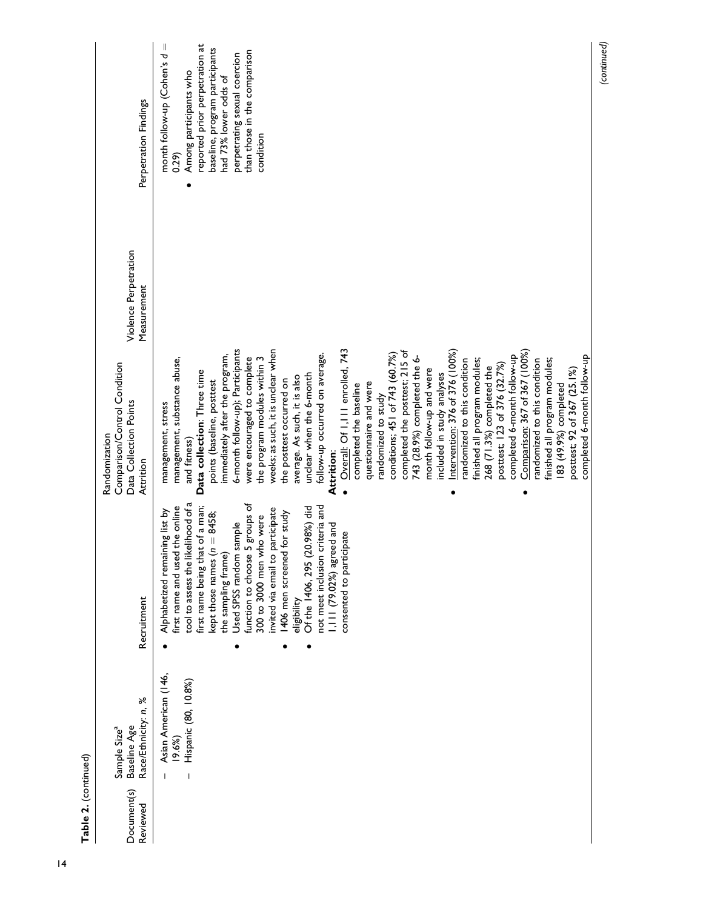| ኑ<br>┍<br>ć<br>÷ |  |
|------------------|--|
|                  |  |
|                  |  |
|                  |  |

(continued)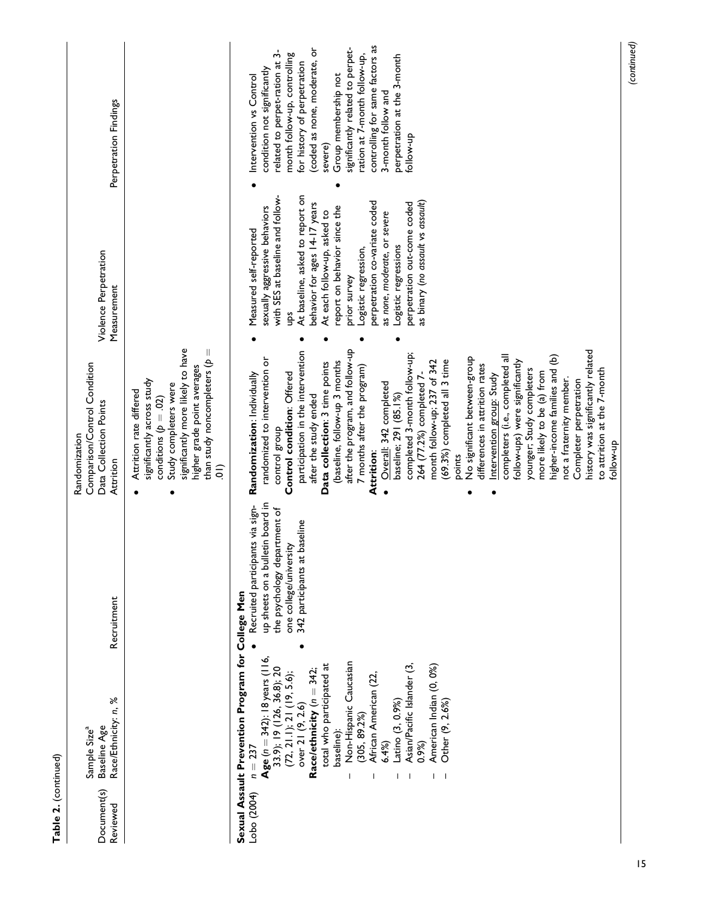| Document(s)<br>Reviewed | Race/Ethnicity: n, %<br>Baseline Age<br>Sample Size <sup>a</sup>                                                                                                                                                                                                                                                                                                                                                                               | Recruitment                                                                                                                                                    | Comparison/Control Condition<br>Data Collection Points<br>Randomization<br>Attrition                                                                                                                                                                                                                                                                                                                                                                                                                                                                                                                                                                                                                                                                                                                                                                                                                                          | Violence Perpetration<br>Measurement                                                                                                                                                                                                                                                                                                                                                                                                     | Perpetration Findings                                                                                                                                                                                                                                                                                                                                                                              |
|-------------------------|------------------------------------------------------------------------------------------------------------------------------------------------------------------------------------------------------------------------------------------------------------------------------------------------------------------------------------------------------------------------------------------------------------------------------------------------|----------------------------------------------------------------------------------------------------------------------------------------------------------------|-------------------------------------------------------------------------------------------------------------------------------------------------------------------------------------------------------------------------------------------------------------------------------------------------------------------------------------------------------------------------------------------------------------------------------------------------------------------------------------------------------------------------------------------------------------------------------------------------------------------------------------------------------------------------------------------------------------------------------------------------------------------------------------------------------------------------------------------------------------------------------------------------------------------------------|------------------------------------------------------------------------------------------------------------------------------------------------------------------------------------------------------------------------------------------------------------------------------------------------------------------------------------------------------------------------------------------------------------------------------------------|----------------------------------------------------------------------------------------------------------------------------------------------------------------------------------------------------------------------------------------------------------------------------------------------------------------------------------------------------------------------------------------------------|
|                         |                                                                                                                                                                                                                                                                                                                                                                                                                                                |                                                                                                                                                                | significantly more likely to have<br>than study noncompleters ( $p =$<br>higher grade point averages<br>significantly across study<br>Study completers were<br>Attrition rate differed<br>conditions ( $p = .02$ )<br>$\frac{1}{2}$                                                                                                                                                                                                                                                                                                                                                                                                                                                                                                                                                                                                                                                                                           |                                                                                                                                                                                                                                                                                                                                                                                                                                          |                                                                                                                                                                                                                                                                                                                                                                                                    |
| Lobo (2004)             | Sexual Assault Prevention Program for College Men<br>Age ( $n = 342$ ): 18 years (116,<br>Non-Hispanic Caucasian<br>Asian/Pacific Islander (3,<br>total who participated at<br>American Indian (0, 0%)<br>33.9); 19 (126, 36.8); 20<br>Race/ethnicity ( $n = 342$ ;<br>(72, 21.1); 21 (19, 5.6);<br>African American (22<br>Other (9, 2.6%)<br>Latino (3, 0.9%)<br>over 21 (9, 2.6)<br>(305, 89.2%)<br>baseline):<br>6.4%<br>0.9%<br>$n = 237$ | up sheets on a bulletin board in<br>Recruited participants via sign-<br>the psychology department of<br>342 participants at baseline<br>one college/university | after the program, and follow-up<br>participation in the intervention<br>history was significantly related<br>completed 3-month follow-up;<br>completers (i.e., completed all<br>higher-income families and (b)<br>No significant between-group<br>randomized to intervention or<br>(baseline, follow-up 3 months<br>(69.3%) completed all 3 time<br>month follow-up; 237 of 342<br>follow-ups) were significantly<br>Data collection: 3 time points<br>differences in attrition rates<br>7 months after the program)<br>to attrition at the 7-month<br>younger; Study completers<br>more likely to be (a) from<br>Control condition: Offered<br>264 (77.2%) completed 7-<br>Randomization: Individually<br>Intervention group: Study<br>not a fraternity member.<br>Completer perpetration<br>Overall: 342 completed<br>baseline; 291 (85.1%)<br>after the study ended<br>control group<br>qu-wollot<br>Attrition:<br>points | At baseline, asked to report on<br>with SES at baseline and follow-<br>as binary (no assault vs assault)<br>perpetration co-variate coded<br>behavior for ages 14-17 years<br>perpetration out-come coded<br>sexually aggressive behaviors<br>report on behavior since the<br>At each follow-up, asked to<br>as none, moderate, or severe<br>Measured self-reported<br>Logistic regressions<br>Logistic regression,<br>prior survey<br>ğ | controlling for same factors as<br>coded as none, moderate, or<br>significantly related to perpet-<br>related to perpet-ration at 3-<br>month follow-up, controlling<br>ration at 7-month follow-up,<br>perpetration at the 3-month<br>for history of perpetration<br>condition not significantly<br>Group membership not<br>Intervention vs Control<br>3-month follow and<br>follow-up<br>severe) |
|                         |                                                                                                                                                                                                                                                                                                                                                                                                                                                |                                                                                                                                                                |                                                                                                                                                                                                                                                                                                                                                                                                                                                                                                                                                                                                                                                                                                                                                                                                                                                                                                                               |                                                                                                                                                                                                                                                                                                                                                                                                                                          | (continued)                                                                                                                                                                                                                                                                                                                                                                                        |

Table 2. (continued)

Table 2. (continued)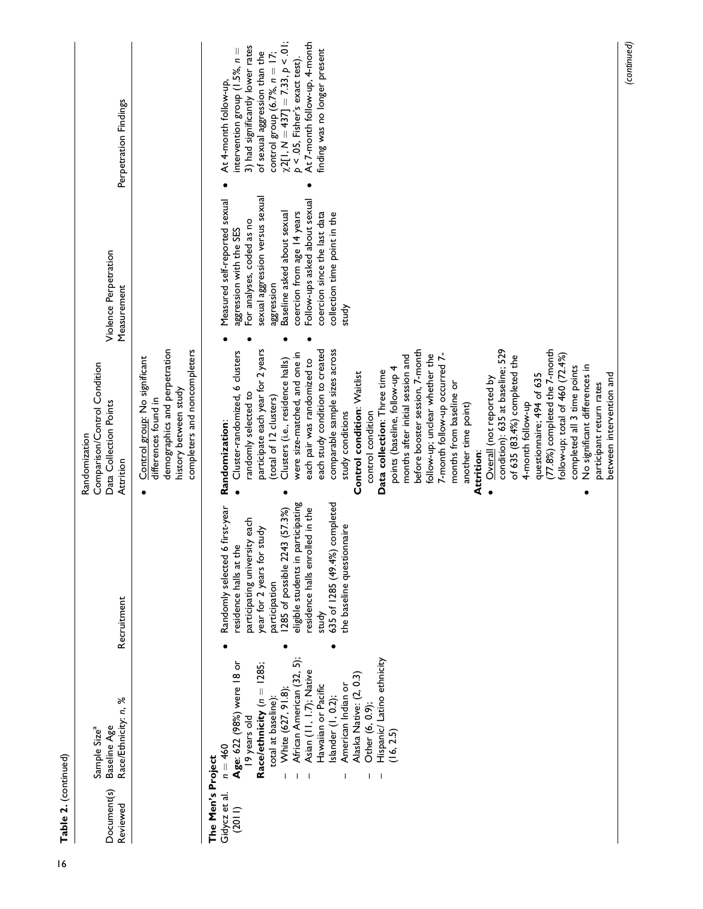| Document(s)<br>Reviewed                      | Race/Ethnicity: n, %<br>Baseline Age<br>Sample Size <sup>a</sup>                                                                                                                                                                                                                                                                                       | Recruitment                                                                                                                                                                                                                                                                                                                      | Comparison/Control Condition<br>Data Collection Points<br>Randomization<br>Attrition                                                                                                                                                                                                                                                                                                                                                                                                                                                                                                                                                                                                                                                                                                                                                                                                                                                                                                                             | Violence Perpetration<br>Measurement                                                                                                                                                                                                                                                                          | Perpetration Findings                                                                                                                                                                                                                                                                                             |
|----------------------------------------------|--------------------------------------------------------------------------------------------------------------------------------------------------------------------------------------------------------------------------------------------------------------------------------------------------------------------------------------------------------|----------------------------------------------------------------------------------------------------------------------------------------------------------------------------------------------------------------------------------------------------------------------------------------------------------------------------------|------------------------------------------------------------------------------------------------------------------------------------------------------------------------------------------------------------------------------------------------------------------------------------------------------------------------------------------------------------------------------------------------------------------------------------------------------------------------------------------------------------------------------------------------------------------------------------------------------------------------------------------------------------------------------------------------------------------------------------------------------------------------------------------------------------------------------------------------------------------------------------------------------------------------------------------------------------------------------------------------------------------|---------------------------------------------------------------------------------------------------------------------------------------------------------------------------------------------------------------------------------------------------------------------------------------------------------------|-------------------------------------------------------------------------------------------------------------------------------------------------------------------------------------------------------------------------------------------------------------------------------------------------------------------|
|                                              |                                                                                                                                                                                                                                                                                                                                                        |                                                                                                                                                                                                                                                                                                                                  | demographics and perpetration<br>completers and noncompleters<br>Control group: No significant<br>history between study<br>differences found in                                                                                                                                                                                                                                                                                                                                                                                                                                                                                                                                                                                                                                                                                                                                                                                                                                                                  |                                                                                                                                                                                                                                                                                                               |                                                                                                                                                                                                                                                                                                                   |
| The Men's Project<br>Gidycz et al.<br>(2011) | Hispanic/ Latino ethnicity<br>African American (32, 5);<br>Age: 622 (98%) were 18 or<br>Race/ethnicity ( $n = 1285$ ;<br>Asian (11, 1.7); Native<br>Alaska Native: (2, 0.3)<br>American Indian or<br>Hawaiian or Pacific<br>White (627, 91.8)<br>Islander (1, 0.2);<br>total at baseline)<br>Other (6, 0.9);<br>19 years old<br>(16, 2.5)<br>$n = 460$ | completed<br>eligible students in participating<br>first-year<br>residence halls enrolled in the<br>1285 of possible 2243 (57.3%)<br>participating university each<br>the baseline questionnaire<br>year for 2 years for study<br>residence halls at the<br>Randomly selected 6<br>635 of 1285 (49.4%)<br>participation<br>study | each study condition to created<br>comparable sample sizes across<br>participate each year for 2 years<br>condition): 635 at baseline; 529<br>(77.8%) completed the 7-month<br>before booster session, 7-month<br>Cluster-randomized, 6 clusters<br>were size-matched, and one in<br>follow-up; total of 460 (72.4%)<br>7-month follow-up occurred 7-<br>follow-up; unclear whether the<br>months after initial session and<br>of 635 (83.4%) completed the<br>each pair was randomized to<br>Clusters (i.e., residence halls)<br>No significant differences in<br>points (baseline, follow-up 4<br>completed all 3 time points<br>Data collection: Three time<br>Control condition: Waitlist<br>questionnaire; 494 of 635<br>between intervention and<br>Overall (not reported by<br>months from baseline or<br>participant return rates<br>randomly selected to<br>(total of 12 clusters)<br>4-month follow-up<br>another time point)<br>study conditions<br>control condition<br>Randomization:<br>Attrition: | sexual aggression versus sexual<br>Follow-ups asked about sexual<br>Measured self-reported sexual<br>coercion from age 14 years<br>Baseline asked about sexual<br>coercion since the last data<br>collection time point in the<br>For analyses, coded as no<br>aggression with the SES<br>aggression<br>study | $\chi$ 2[1, M = 437] = 7.33, p < .01;<br>At 7-month follow-up, 4-month<br>3) had significantly lower rates<br>intervention group (1.5%, $n =$<br>finding was no longer present<br>of sexual aggression than the<br>control group (6.7%, $n = 17$ ;<br>$p < 0.05$ , Fisher's exact test).<br>At 4-month follow-up, |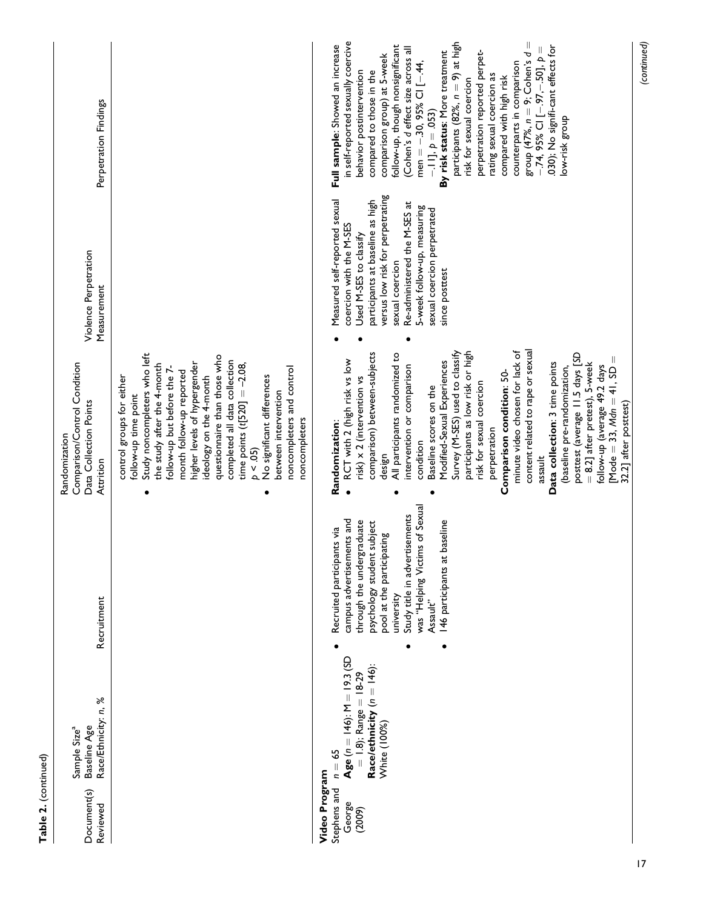| Document(s)<br>Reviewed                           | Race/Ethnicity: n, %<br>Baseline Age<br>Sample Size <sup>a</sup>                                                        | Recruitment                                                                                                                                                                                                                                                                  | Comparison/Control Condition<br>Data Collection Points<br>Randomization<br>Attrition                                                                                                                                                                                                                                                                                                                                                                                                                                                                                                                                                                                                                                                              | Violence Perpetration<br>Measurement                                                                                                                                                                                                                                                          | Perpetration Findings                                                                                                                                                                                                                                                                                                                                                                                                                                                                                                                                                                                                                                                       |
|---------------------------------------------------|-------------------------------------------------------------------------------------------------------------------------|------------------------------------------------------------------------------------------------------------------------------------------------------------------------------------------------------------------------------------------------------------------------------|---------------------------------------------------------------------------------------------------------------------------------------------------------------------------------------------------------------------------------------------------------------------------------------------------------------------------------------------------------------------------------------------------------------------------------------------------------------------------------------------------------------------------------------------------------------------------------------------------------------------------------------------------------------------------------------------------------------------------------------------------|-----------------------------------------------------------------------------------------------------------------------------------------------------------------------------------------------------------------------------------------------------------------------------------------------|-----------------------------------------------------------------------------------------------------------------------------------------------------------------------------------------------------------------------------------------------------------------------------------------------------------------------------------------------------------------------------------------------------------------------------------------------------------------------------------------------------------------------------------------------------------------------------------------------------------------------------------------------------------------------------|
|                                                   |                                                                                                                         |                                                                                                                                                                                                                                                                              | Study noncompleters who left<br>questionnaire than those who<br>completed all data collection<br>higher levels of hypergender<br>time points $(t[520] = -2.08$ ,<br>the study after the 4-month<br>noncompleters and control<br>follow-up but before the 7-<br>month follow-up reported<br>ideology on the 4-month<br>No significant differences<br>control groups for either<br>between intervention<br>follow-up time point<br>noncompleters<br>p < 0.05                                                                                                                                                                                                                                                                                        |                                                                                                                                                                                                                                                                                               |                                                                                                                                                                                                                                                                                                                                                                                                                                                                                                                                                                                                                                                                             |
| Video Program<br>Stephens and<br>George<br>(2009) | Age $(n = 146)$ : M = 19.3 (SD<br>Race/ethnicity ( $n = 146$ ):<br>$= 1.8$ ); Range = $18-29$<br>White (100%)<br>$n=65$ | was "Helping Victims of Sexual<br>Study title in advertisements<br>campus advertisements and<br>through the undergraduate<br>psychology student subject<br>146 participants at baseline<br>Recruited participants via<br>pool at the participating<br>university<br>Assault" | content related to rape or sexual<br>minute video chosen for lack of<br>participants as low risk or high<br>Survey (M-SES) used to classify<br>comparison) between-subjects<br>posttest (average 11.5 days [SD<br>All participants randomized to<br>[Mode = 33, $Mdn = 41$ , $SD =$<br>RCT with 2 (high risk vs low<br>Modified-Sexual Experiences<br>$= 8.2$ ] after pretest), 5-week<br>Data collection: 3 time points<br>follow-up (average 49.2 days<br>intervention or comparison<br>(baseline pre-randomization,<br>Comparison condition: 50-<br>risk) x 2 (intervention vs<br>risk for sexual coercion<br>Baseline scores on the<br>32.2] after posttest)<br>Randomization:<br>perpetration<br>condition<br>design<br>assault<br>$\bullet$ | versus low risk for perpetrating<br>Measured self-reported sexual<br>participants at baseline as high<br>Re-administered the M-SES at<br>5-week follow-up, measuring<br>sexual coercion perpetrated<br>coercion with the M-SES<br>Used M-SES to classify<br>sexual coercion<br>since posttest | in self-reported sexually coercive<br>participants $(82\%, n=9)$ at high<br>$\mid \mid$<br>Full sample: Showed an increase<br>follow-up, though nonsignificant<br>.030); No signifi-cant effects for<br>(Cohen's d effect size across all<br>$-.74,95\%$ CI [ $-.97, -.50$ ], $p =$<br>By risk status: More treatment<br>perpetration reported perpet-<br>group $(47\%, n = 9;$ Cohen's d<br>comparison group) at 5-week<br>counterparts in comparison<br>men = $-.30,95\%$ CI [ $-.44,$<br>compared to those in the<br>behavior postintervention<br>rating sexual coercion as<br>compared with high risk<br>risk for sexual coercion<br>$-111, p = .053$<br>low-risk group |
|                                                   |                                                                                                                         |                                                                                                                                                                                                                                                                              |                                                                                                                                                                                                                                                                                                                                                                                                                                                                                                                                                                                                                                                                                                                                                   |                                                                                                                                                                                                                                                                                               | (continued)                                                                                                                                                                                                                                                                                                                                                                                                                                                                                                                                                                                                                                                                 |

Table 2. (continued)

Table 2. (continued)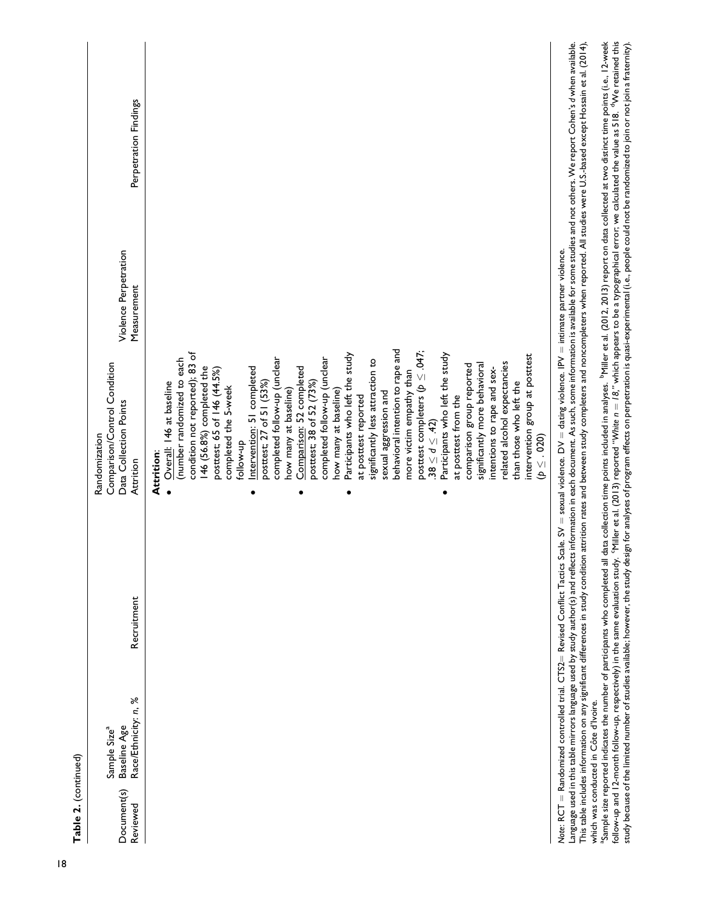| Table 2. (continued)    |                                                                  |             |                                                                                      |                                      |                       |
|-------------------------|------------------------------------------------------------------|-------------|--------------------------------------------------------------------------------------|--------------------------------------|-----------------------|
| Document(s)<br>Reviewed | Race/Ethnicity: n, %<br>Baseline Age<br>Sample Size <sup>a</sup> | Recruitment | Comparison/Control Condition<br>Data Collection Points<br>Randomization<br>Attrition | Violence Perpetration<br>Measurement | Perpetration Findings |
|                         |                                                                  |             | Attrition:                                                                           |                                      |                       |
|                         |                                                                  |             | • Overall: 146 at baseline                                                           |                                      |                       |
|                         |                                                                  |             | (number randomized to each                                                           |                                      |                       |
|                         |                                                                  |             | condition not reported); 83 of                                                       |                                      |                       |
|                         |                                                                  |             | 146 (56.8%) completed the                                                            |                                      |                       |
|                         |                                                                  |             | posttest; 65 of 146 (44.5%)<br>completed the 5-week                                  |                                      |                       |
|                         |                                                                  |             | follow-up                                                                            |                                      |                       |
|                         |                                                                  |             |                                                                                      |                                      |                       |
|                         |                                                                  |             | Intervention: 51 completed<br>posttest; 27 of 51 (53%)                               |                                      |                       |
|                         |                                                                  |             | completed follow-up (unclear                                                         |                                      |                       |
|                         |                                                                  |             | how many at baseline)                                                                |                                      |                       |
|                         |                                                                  |             | Comparison: 52 completed                                                             |                                      |                       |
|                         |                                                                  |             | posttest; 38 of 52 (73%)                                                             |                                      |                       |
|                         |                                                                  |             | completed follow-up (unclear                                                         |                                      |                       |
|                         |                                                                  |             | how many at baseline)                                                                |                                      |                       |
|                         |                                                                  |             | Participants who left the study                                                      |                                      |                       |
|                         |                                                                  |             | at posttest reported                                                                 |                                      |                       |
|                         |                                                                  |             | significantly less attraction to                                                     |                                      |                       |
|                         |                                                                  |             | sexual aggression and                                                                |                                      |                       |
|                         |                                                                  |             | behavioral intention to rape and                                                     |                                      |                       |
|                         |                                                                  |             | more victim empathy than                                                             |                                      |                       |
|                         |                                                                  |             | posttest completers ( $p \leq .047$ ;                                                |                                      |                       |
|                         |                                                                  |             | $38 \le d \le .42$                                                                   |                                      |                       |
|                         |                                                                  |             | Participants who left the study                                                      |                                      |                       |
|                         |                                                                  |             | at posttest from the                                                                 |                                      |                       |
|                         |                                                                  |             | comparison group reported                                                            |                                      |                       |
|                         |                                                                  |             | significantly more behavioral                                                        |                                      |                       |
|                         |                                                                  |             | intentions to rape and sex-                                                          |                                      |                       |
|                         |                                                                  |             | related alcohol expectancies                                                         |                                      |                       |

Note: RCT = Randomized controlled trial. CTS2= Revised Conflict Tactics Scale. SV = sexual violence. DV = dating violence. IPV = intimate partner violence. Note: RCT = Randomized controlled trial. CTS2= Revised Conflict Tactics Scale. SV = sexual violence. DV = dating violence. IPV = intimate partner violence.

 $(p \leq .020)$ 

intervention group at posttest

related alcohol expectancies than those who left the intervention group at posttest

than those who left the

This table includes information on any significant differences in study condition rates and between study completers and noncompleters when reported. All studies were U.S.-based except Hossain et al. (2014), Language used in this table mirrors language used by study author(s) and reflects information in each document. As such, some information is available for some studies and not others. We report Cohen's d when available. Language used in this table mirrors language used by study author(s) authorediects information in each document. As such, some information is available for some studies and not others. We report Cohen's d when available. This table includes information on any significant differences in study condition attrition rates and between study completers and noncompleters when reported. All studies were U.S.-based except Hossain et al. (2014), which was conducted in Côte d'Ivoire. which was conducted in Côte d'Ivoire.

follow-up and 12-month follow-up, respectively) in the same evaluation study. 'Miller et al. (2013) reported "White  $n = 18$ ," which appears to be a typographical error; we calculated the value as 518. "We retained this Sample size reported indicates the number of participants who completed all data collection time points included in analyses. PYiller et al. (2012, 2013) report on data collected at two distinct time points (i.e., 12-week study because of the limited number of studies available; however, the study design for analyses of program effects on perpetration is quasi-experimental (i.e., people could not be randomized to join or not join a fraterni  $S$ ample size reported indicates the number of participants who completed all data collection time points included in analyses.  $~$  Miller et al. (2012, 2013) report on data collected at two distinct time points (i.e., 12 follow-up and 12-month follow-up, respectively) in the same evaluation study. 'Miller et al. (2013) reported "White  $n = 18,$  " which appears to be a typographical error; we calculated the value as 518.  $^{\rm d}$ We retained study because of the limited number of studies available; however, the study design for analyses of program effects on perpetration is quasi-experimental (i.e., people could not be randomized to join or not join a fratern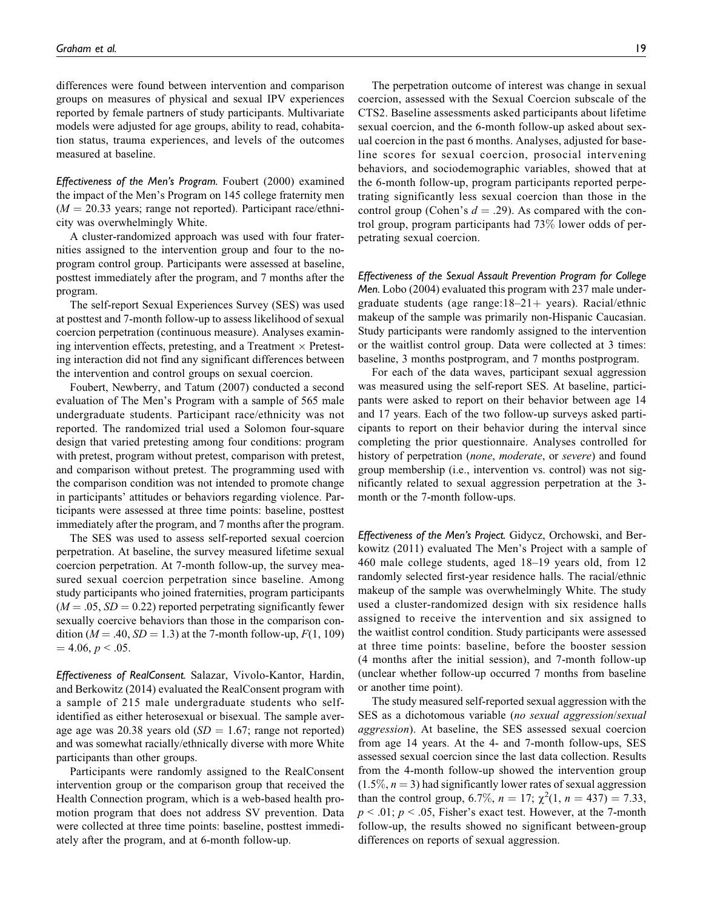differences were found between intervention and comparison groups on measures of physical and sexual IPV experiences reported by female partners of study participants. Multivariate models were adjusted for age groups, ability to read, cohabitation status, trauma experiences, and levels of the outcomes measured at baseline.

Effectiveness of the Men's Program. Foubert (2000) examined the impact of the Men's Program on 145 college fraternity men  $(M = 20.33$  years; range not reported). Participant race/ethnicity was overwhelmingly White.

A cluster-randomized approach was used with four fraternities assigned to the intervention group and four to the noprogram control group. Participants were assessed at baseline, posttest immediately after the program, and 7 months after the program.

The self-report Sexual Experiences Survey (SES) was used at posttest and 7-month follow-up to assess likelihood of sexual coercion perpetration (continuous measure). Analyses examining intervention effects, pretesting, and a Treatment  $\times$  Pretesting interaction did not find any significant differences between the intervention and control groups on sexual coercion.

Foubert, Newberry, and Tatum (2007) conducted a second evaluation of The Men's Program with a sample of 565 male undergraduate students. Participant race/ethnicity was not reported. The randomized trial used a Solomon four-square design that varied pretesting among four conditions: program with pretest, program without pretest, comparison with pretest, and comparison without pretest. The programming used with the comparison condition was not intended to promote change in participants' attitudes or behaviors regarding violence. Participants were assessed at three time points: baseline, posttest immediately after the program, and 7 months after the program.

The SES was used to assess self-reported sexual coercion perpetration. At baseline, the survey measured lifetime sexual coercion perpetration. At 7-month follow-up, the survey measured sexual coercion perpetration since baseline. Among study participants who joined fraternities, program participants  $(M = .05, SD = 0.22)$  reported perpetrating significantly fewer sexually coercive behaviors than those in the comparison condition ( $M = .40$ ,  $SD = 1.3$ ) at the 7-month follow-up,  $F(1, 109)$  $= 4.06, p \le 0.05.$ 

Effectiveness of RealConsent. Salazar, Vivolo-Kantor, Hardin, and Berkowitz (2014) evaluated the RealConsent program with a sample of 215 male undergraduate students who selfidentified as either heterosexual or bisexual. The sample average age was 20.38 years old  $(SD = 1.67;$  range not reported) and was somewhat racially/ethnically diverse with more White participants than other groups.

Participants were randomly assigned to the RealConsent intervention group or the comparison group that received the Health Connection program, which is a web-based health promotion program that does not address SV prevention. Data were collected at three time points: baseline, posttest immediately after the program, and at 6-month follow-up.

The perpetration outcome of interest was change in sexual coercion, assessed with the Sexual Coercion subscale of the CTS2. Baseline assessments asked participants about lifetime sexual coercion, and the 6-month follow-up asked about sexual coercion in the past 6 months. Analyses, adjusted for baseline scores for sexual coercion, prosocial intervening behaviors, and sociodemographic variables, showed that at the 6-month follow-up, program participants reported perpetrating significantly less sexual coercion than those in the control group (Cohen's  $d = .29$ ). As compared with the control group, program participants had 73% lower odds of perpetrating sexual coercion.

Effectiveness of the Sexual Assault Prevention Program for College Men. Lobo (2004) evaluated this program with 237 male undergraduate students (age range: $18-21+$  years). Racial/ethnic makeup of the sample was primarily non-Hispanic Caucasian. Study participants were randomly assigned to the intervention or the waitlist control group. Data were collected at 3 times: baseline, 3 months postprogram, and 7 months postprogram.

For each of the data waves, participant sexual aggression was measured using the self-report SES. At baseline, participants were asked to report on their behavior between age 14 and 17 years. Each of the two follow-up surveys asked participants to report on their behavior during the interval since completing the prior questionnaire. Analyses controlled for history of perpetration (*none*, *moderate*, or *severe*) and found group membership (i.e., intervention vs. control) was not significantly related to sexual aggression perpetration at the 3 month or the 7-month follow-ups.

Effectiveness of the Men's Project. Gidycz, Orchowski, and Berkowitz (2011) evaluated The Men's Project with a sample of 460 male college students, aged 18–19 years old, from 12 randomly selected first-year residence halls. The racial/ethnic makeup of the sample was overwhelmingly White. The study used a cluster-randomized design with six residence halls assigned to receive the intervention and six assigned to the waitlist control condition. Study participants were assessed at three time points: baseline, before the booster session (4 months after the initial session), and 7-month follow-up (unclear whether follow-up occurred 7 months from baseline or another time point).

The study measured self-reported sexual aggression with the SES as a dichotomous variable (no sexual aggression/sexual aggression). At baseline, the SES assessed sexual coercion from age 14 years. At the 4- and 7-month follow-ups, SES assessed sexual coercion since the last data collection. Results from the 4-month follow-up showed the intervention group  $(1.5\%, n = 3)$  had significantly lower rates of sexual aggression than the control group, 6.7%,  $n = 17$ ;  $\chi^2(1, n = 437) = 7.33$ ,  $p < .01$ ;  $p < .05$ , Fisher's exact test. However, at the 7-month follow-up, the results showed no significant between-group differences on reports of sexual aggression.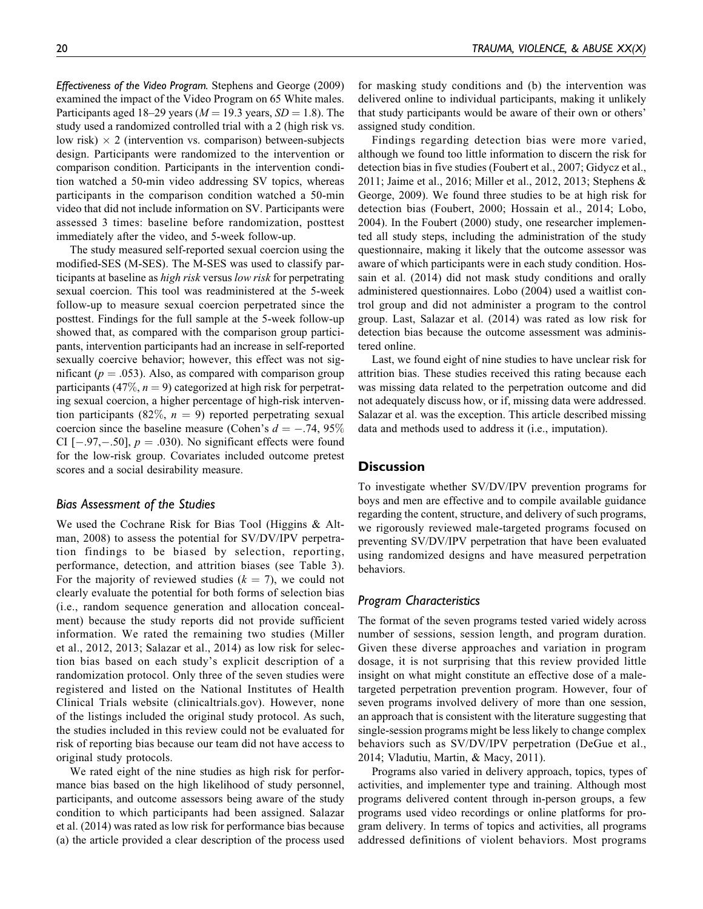Effectiveness of the Video Program. Stephens and George (2009) examined the impact of the Video Program on 65 White males. Participants aged 18–29 years ( $M = 19.3$  years,  $SD = 1.8$ ). The study used a randomized controlled trial with a 2 (high risk vs. low risk)  $\times$  2 (intervention vs. comparison) between-subjects design. Participants were randomized to the intervention or comparison condition. Participants in the intervention condition watched a 50-min video addressing SV topics, whereas participants in the comparison condition watched a 50-min video that did not include information on SV. Participants were assessed 3 times: baseline before randomization, posttest immediately after the video, and 5-week follow-up.

The study measured self-reported sexual coercion using the modified-SES (M-SES). The M-SES was used to classify participants at baseline as high risk versus low risk for perpetrating sexual coercion. This tool was readministered at the 5-week follow-up to measure sexual coercion perpetrated since the posttest. Findings for the full sample at the 5-week follow-up showed that, as compared with the comparison group participants, intervention participants had an increase in self-reported sexually coercive behavior; however, this effect was not significant ( $p = .053$ ). Also, as compared with comparison group participants (47\%,  $n = 9$ ) categorized at high risk for perpetrating sexual coercion, a higher percentage of high-risk intervention participants (82%,  $n = 9$ ) reported perpetrating sexual coercion since the baseline measure (Cohen's  $d = -.74, 95\%$ CI  $[-.97, -.50]$ ,  $p = .030$ ). No significant effects were found for the low-risk group. Covariates included outcome pretest scores and a social desirability measure.

# Bias Assessment of the Studies

We used the Cochrane Risk for Bias Tool (Higgins & Altman, 2008) to assess the potential for SV/DV/IPV perpetration findings to be biased by selection, reporting, performance, detection, and attrition biases (see Table 3). For the majority of reviewed studies ( $k = 7$ ), we could not clearly evaluate the potential for both forms of selection bias (i.e., random sequence generation and allocation concealment) because the study reports did not provide sufficient information. We rated the remaining two studies (Miller et al., 2012, 2013; Salazar et al., 2014) as low risk for selection bias based on each study's explicit description of a randomization protocol. Only three of the seven studies were registered and listed on the National Institutes of Health Clinical Trials website (clinicaltrials.gov). However, none of the listings included the original study protocol. As such, the studies included in this review could not be evaluated for risk of reporting bias because our team did not have access to original study protocols.

We rated eight of the nine studies as high risk for performance bias based on the high likelihood of study personnel, participants, and outcome assessors being aware of the study condition to which participants had been assigned. Salazar et al. (2014) was rated as low risk for performance bias because (a) the article provided a clear description of the process used for masking study conditions and (b) the intervention was delivered online to individual participants, making it unlikely that study participants would be aware of their own or others' assigned study condition.

Findings regarding detection bias were more varied, although we found too little information to discern the risk for detection bias in five studies (Foubert et al., 2007; Gidycz et al., 2011; Jaime et al., 2016; Miller et al., 2012, 2013; Stephens & George, 2009). We found three studies to be at high risk for detection bias (Foubert, 2000; Hossain et al., 2014; Lobo, 2004). In the Foubert (2000) study, one researcher implemented all study steps, including the administration of the study questionnaire, making it likely that the outcome assessor was aware of which participants were in each study condition. Hossain et al. (2014) did not mask study conditions and orally administered questionnaires. Lobo (2004) used a waitlist control group and did not administer a program to the control group. Last, Salazar et al. (2014) was rated as low risk for detection bias because the outcome assessment was administered online.

Last, we found eight of nine studies to have unclear risk for attrition bias. These studies received this rating because each was missing data related to the perpetration outcome and did not adequately discuss how, or if, missing data were addressed. Salazar et al. was the exception. This article described missing data and methods used to address it (i.e., imputation).

## **Discussion**

To investigate whether SV/DV/IPV prevention programs for boys and men are effective and to compile available guidance regarding the content, structure, and delivery of such programs, we rigorously reviewed male-targeted programs focused on preventing SV/DV/IPV perpetration that have been evaluated using randomized designs and have measured perpetration behaviors.

# Program Characteristics

The format of the seven programs tested varied widely across number of sessions, session length, and program duration. Given these diverse approaches and variation in program dosage, it is not surprising that this review provided little insight on what might constitute an effective dose of a maletargeted perpetration prevention program. However, four of seven programs involved delivery of more than one session, an approach that is consistent with the literature suggesting that single-session programs might be less likely to change complex behaviors such as SV/DV/IPV perpetration (DeGue et al., 2014; Vladutiu, Martin, & Macy, 2011).

Programs also varied in delivery approach, topics, types of activities, and implementer type and training. Although most programs delivered content through in-person groups, a few programs used video recordings or online platforms for program delivery. In terms of topics and activities, all programs addressed definitions of violent behaviors. Most programs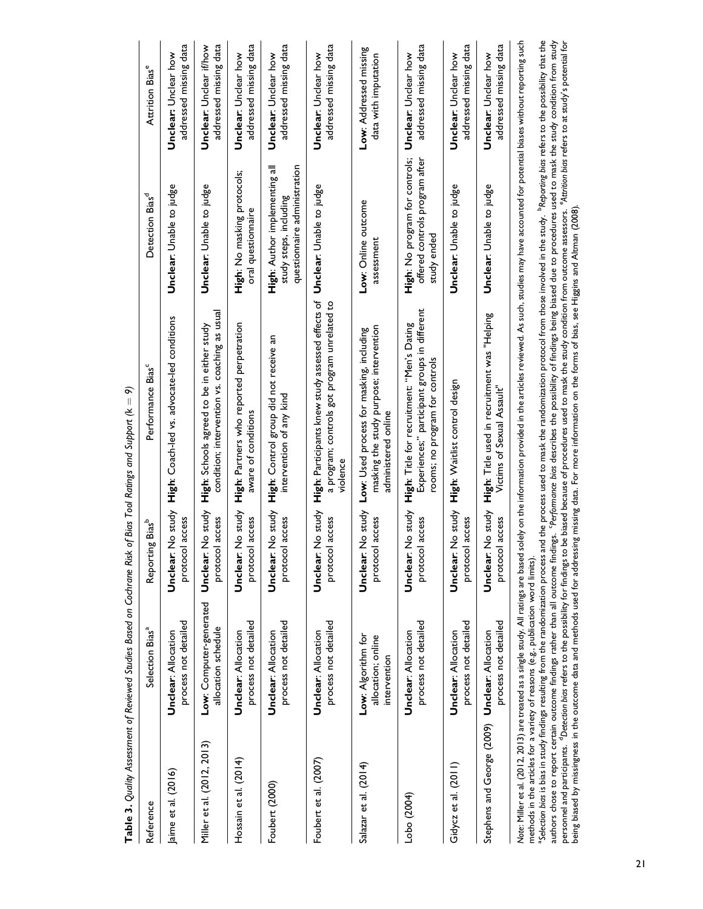| Reference                                      | Selection Bias <sup>a</sup>                                                     | ng Bias <sup>b</sup><br>Reportin            | Performance Bias <sup>c</sup>                                                                                                                                                                                                 | Detection Bias <sup>d</sup>                                                             | Attrition Bias <sup>e</sup>                              |
|------------------------------------------------|---------------------------------------------------------------------------------|---------------------------------------------|-------------------------------------------------------------------------------------------------------------------------------------------------------------------------------------------------------------------------------|-----------------------------------------------------------------------------------------|----------------------------------------------------------|
| Jaime et al. (2016)                            | process not detailed<br><b>Unclear: Allocation</b>                              | protocol access<br>Unclear:                 | No study High: Coach-led vs. advocate-led conditions                                                                                                                                                                          | Unclear: Unable to judge                                                                | addressed missing data<br>Unclear: Unclear how           |
| Miller et al. (2012, 2013)                     | Low: Computer-generated<br>allocation schedule                                  | No study<br>protocol access<br>Unclear:     | condition; intervention vs. coaching as usual<br>High: Schools agreed to be in either study                                                                                                                                   | Unclear: Unable to judge                                                                | addressed missing data<br><b>Unclear:</b> Unclear if/how |
| Hossain et al. (2014)                          | process not detailed<br><b>Unclear: Allocation</b>                              | No study<br>protocol access<br>Unclear:     | High: Partners who reported perpetration<br>aware of conditions                                                                                                                                                               | High: No masking protocols;<br>oral questionnaire                                       | addressed missing data<br><b>Unclear:</b> Unclear how    |
| Foubert (2000)                                 | process not detailed<br><b>Unclear: Allocation</b>                              | No study<br>protocol access<br>Unclear:     | High: Control group did not receive an<br>intervention of any kind                                                                                                                                                            | High: Author implementing all<br>questionnaire administration<br>study steps, including | addressed missing data<br><b>Unclear:</b> Unclear how    |
| Foubert et al. (2007)                          | process not detailed<br><b>Unclear: Allocation</b>                              | No study<br>protocol access<br>Unclear:     | High: Participants knew study assessed effects of<br>a program; controls got program unrelated to<br>violence                                                                                                                 | Unclear: Unable to judge                                                                | addressed missing data<br>Unclear: Unclear how           |
| Salazar et al. (2014)                          | Low: Algorithm for<br>allocation; online<br>intervention                        | Unclear: No study<br>protocol access        | masking the study purpose; intervention<br>Low: Used process for masking, including<br>administered online                                                                                                                    | Low: Online outcome<br>assessment                                                       | Low: Addressed missing<br>data with imputation           |
| Lobo (2004)                                    | process not detailed<br><b>Undear: Allocation</b>                               | No study<br>l access<br>protoco<br>Unclear: | Experiences;" participant groups in different<br>High: Title for recruitment: "Men's Dating<br>rooms; no program for controls                                                                                                 | High: No program for controls;<br>offered controls program after<br>study ended         | addressed missing data<br>Unclear: Unclear how           |
| Gidycz et al. $(2011)$                         | process not detailed<br><b>Unclear: Allocation</b>                              | protocol access                             | Unclear: No study High: Waitlist control design                                                                                                                                                                               | Unclear: Unable to judge                                                                | addressed missing data<br>Unclear: Unclear how           |
| Stephens and George (2009) Unclear: Allocation | process not detailed                                                            | No study<br>protocol access<br>Unclear:     | High: Title used in recruitment was "Helping<br>Victims of Sexual Assault"                                                                                                                                                    | Unclear: Unable to judge                                                                | addressed missing data<br><b>Unclear:</b> Unclear how    |
|                                                | mathods in the articles for a variaty of reasons (e.g. publication word limits) |                                             | Note: Miller et al. (2012, 2013) are treated as a single study. All ratings are based solely on the information provided in the articles reviewed. As such, studies may have accounted for potential biases without reporting |                                                                                         |                                                          |

 ${\sf Table~3.}$  Quality Assessment of Reviewed Studies Based on Cochrane Risk of Bias Tool Ratings and Support (k  $=$  9) <code>Table 3.</code> Quality Assessment of Reviewed Studies Based on Cochrane Risk of Bias Tool Ratings and Support (k  $= 9$ ) methods in the articles for a variety of reasons (e.g., publication word limits).

methods in the articles for a variety of reasons (e.g., publication word limits).<br>"Selection bios is bias in study findings resulting from the randomization prosas used to mak the randomization those involved in the study. personnel and participants. "Detection bios refers to the possibility for findings to be biased because of procedures used to mask the study condition from outcome assessors. "Attrition bios refers to at study's potential authors chose to report certain outcome findings rather than all outcome findings. 'Performance bias dies possibility of findings being biased due to procedures used to mask the study condition from study personnel and participants. "Detection bios refers to the possibility for findings to be biased because of procedures used to mask the study condition from outcome assessors. "Attrition bios refers to at study's potential Selection bias in study findings resulting from the randomization process used to mask the randomization protocol from those involved in the study. PReporting bias refers to the possibility that the being biased by missingness in the outcome data and methods used for addressing missing data. For more information on the forms of bias, see Higgins and Altman (2008).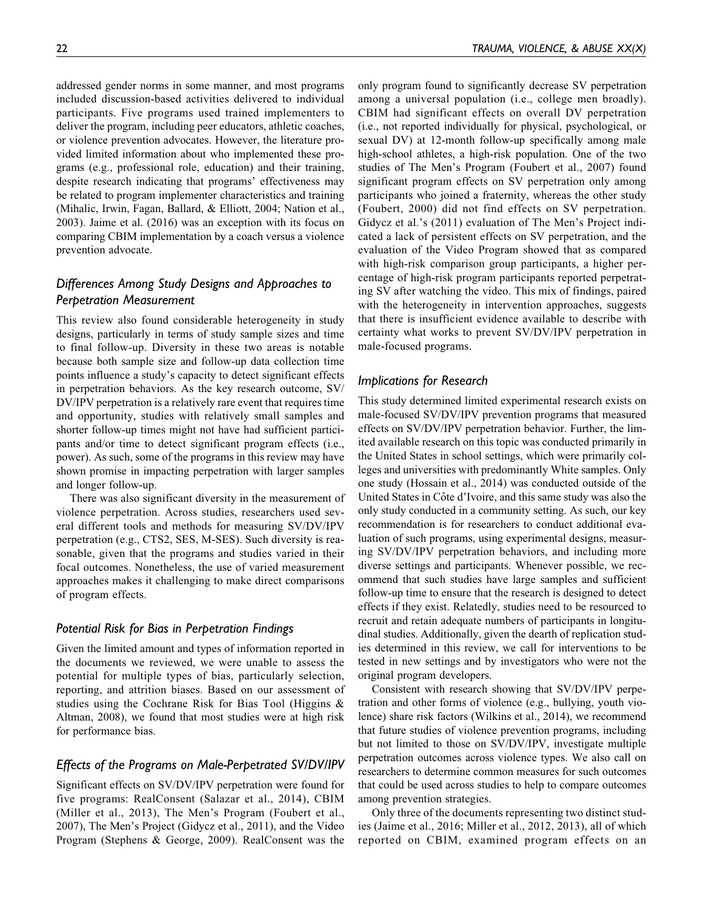addressed gender norms in some manner, and most programs included discussion-based activities delivered to individual participants. Five programs used trained implementers to deliver the program, including peer educators, athletic coaches, or violence prevention advocates. However, the literature provided limited information about who implemented these programs (e.g., professional role, education) and their training, despite research indicating that programs' effectiveness may be related to program implementer characteristics and training (Mihalic, Irwin, Fagan, Ballard, & Elliott, 2004; Nation et al., 2003). Jaime et al. (2016) was an exception with its focus on comparing CBIM implementation by a coach versus a violence prevention advocate.

# Differences Among Study Designs and Approaches to Perpetration Measurement

This review also found considerable heterogeneity in study designs, particularly in terms of study sample sizes and time to final follow-up. Diversity in these two areas is notable because both sample size and follow-up data collection time points influence a study's capacity to detect significant effects in perpetration behaviors. As the key research outcome, SV/ DV/IPV perpetration is a relatively rare event that requires time and opportunity, studies with relatively small samples and shorter follow-up times might not have had sufficient participants and/or time to detect significant program effects (i.e., power). As such, some of the programs in this review may have shown promise in impacting perpetration with larger samples and longer follow-up.

There was also significant diversity in the measurement of violence perpetration. Across studies, researchers used several different tools and methods for measuring SV/DV/IPV perpetration (e.g., CTS2, SES, M-SES). Such diversity is reasonable, given that the programs and studies varied in their focal outcomes. Nonetheless, the use of varied measurement approaches makes it challenging to make direct comparisons of program effects.

## Potential Risk for Bias in Perpetration Findings

Given the limited amount and types of information reported in the documents we reviewed, we were unable to assess the potential for multiple types of bias, particularly selection, reporting, and attrition biases. Based on our assessment of studies using the Cochrane Risk for Bias Tool (Higgins & Altman, 2008), we found that most studies were at high risk for performance bias.

#### Effects of the Programs on Male-Perpetrated SV/DV/IPV

Significant effects on SV/DV/IPV perpetration were found for five programs: RealConsent (Salazar et al., 2014), CBIM (Miller et al., 2013), The Men's Program (Foubert et al., 2007), The Men's Project (Gidycz et al., 2011), and the Video Program (Stephens & George, 2009). RealConsent was the only program found to significantly decrease SV perpetration among a universal population (i.e., college men broadly). CBIM had significant effects on overall DV perpetration (i.e., not reported individually for physical, psychological, or sexual DV) at 12-month follow-up specifically among male high-school athletes, a high-risk population. One of the two studies of The Men's Program (Foubert et al., 2007) found significant program effects on SV perpetration only among participants who joined a fraternity, whereas the other study (Foubert, 2000) did not find effects on SV perpetration. Gidycz et al.'s (2011) evaluation of The Men's Project indicated a lack of persistent effects on SV perpetration, and the evaluation of the Video Program showed that as compared with high-risk comparison group participants, a higher percentage of high-risk program participants reported perpetrating SV after watching the video. This mix of findings, paired with the heterogeneity in intervention approaches, suggests that there is insufficient evidence available to describe with certainty what works to prevent SV/DV/IPV perpetration in male-focused programs.

#### Implications for Research

This study determined limited experimental research exists on male-focused SV/DV/IPV prevention programs that measured effects on SV/DV/IPV perpetration behavior. Further, the limited available research on this topic was conducted primarily in the United States in school settings, which were primarily colleges and universities with predominantly White samples. Only one study (Hossain et al., 2014) was conducted outside of the United States in Côte d'Ivoire, and this same study was also the only study conducted in a community setting. As such, our key recommendation is for researchers to conduct additional evaluation of such programs, using experimental designs, measuring SV/DV/IPV perpetration behaviors, and including more diverse settings and participants. Whenever possible, we recommend that such studies have large samples and sufficient follow-up time to ensure that the research is designed to detect effects if they exist. Relatedly, studies need to be resourced to recruit and retain adequate numbers of participants in longitudinal studies. Additionally, given the dearth of replication studies determined in this review, we call for interventions to be tested in new settings and by investigators who were not the original program developers.

Consistent with research showing that SV/DV/IPV perpetration and other forms of violence (e.g., bullying, youth violence) share risk factors (Wilkins et al., 2014), we recommend that future studies of violence prevention programs, including but not limited to those on SV/DV/IPV, investigate multiple perpetration outcomes across violence types. We also call on researchers to determine common measures for such outcomes that could be used across studies to help to compare outcomes among prevention strategies.

Only three of the documents representing two distinct studies (Jaime et al., 2016; Miller et al., 2012, 2013), all of which reported on CBIM, examined program effects on an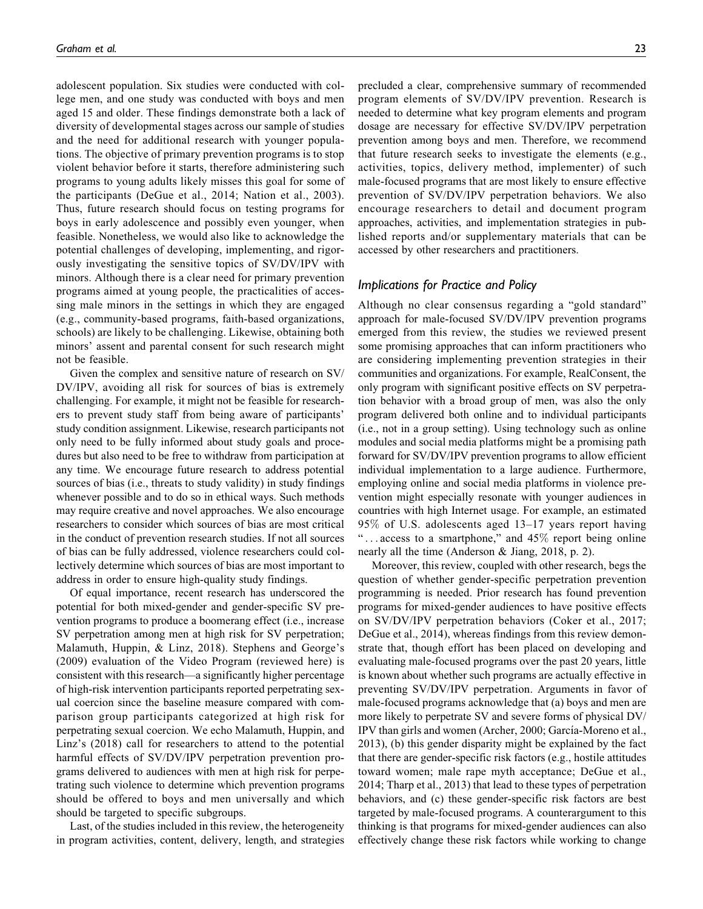adolescent population. Six studies were conducted with college men, and one study was conducted with boys and men aged 15 and older. These findings demonstrate both a lack of diversity of developmental stages across our sample of studies and the need for additional research with younger populations. The objective of primary prevention programs is to stop violent behavior before it starts, therefore administering such programs to young adults likely misses this goal for some of the participants (DeGue et al., 2014; Nation et al., 2003). Thus, future research should focus on testing programs for boys in early adolescence and possibly even younger, when feasible. Nonetheless, we would also like to acknowledge the potential challenges of developing, implementing, and rigorously investigating the sensitive topics of SV/DV/IPV with minors. Although there is a clear need for primary prevention programs aimed at young people, the practicalities of accessing male minors in the settings in which they are engaged (e.g., community-based programs, faith-based organizations, schools) are likely to be challenging. Likewise, obtaining both minors' assent and parental consent for such research might not be feasible.

Given the complex and sensitive nature of research on SV/ DV/IPV, avoiding all risk for sources of bias is extremely challenging. For example, it might not be feasible for researchers to prevent study staff from being aware of participants' study condition assignment. Likewise, research participants not only need to be fully informed about study goals and procedures but also need to be free to withdraw from participation at any time. We encourage future research to address potential sources of bias (i.e., threats to study validity) in study findings whenever possible and to do so in ethical ways. Such methods may require creative and novel approaches. We also encourage researchers to consider which sources of bias are most critical in the conduct of prevention research studies. If not all sources of bias can be fully addressed, violence researchers could collectively determine which sources of bias are most important to address in order to ensure high-quality study findings.

Of equal importance, recent research has underscored the potential for both mixed-gender and gender-specific SV prevention programs to produce a boomerang effect (i.e., increase SV perpetration among men at high risk for SV perpetration; Malamuth, Huppin, & Linz, 2018). Stephens and George's (2009) evaluation of the Video Program (reviewed here) is consistent with this research—a significantly higher percentage of high-risk intervention participants reported perpetrating sexual coercion since the baseline measure compared with comparison group participants categorized at high risk for perpetrating sexual coercion. We echo Malamuth, Huppin, and Linz's (2018) call for researchers to attend to the potential harmful effects of SV/DV/IPV perpetration prevention programs delivered to audiences with men at high risk for perpetrating such violence to determine which prevention programs should be offered to boys and men universally and which should be targeted to specific subgroups.

Last, of the studies included in this review, the heterogeneity in program activities, content, delivery, length, and strategies precluded a clear, comprehensive summary of recommended program elements of SV/DV/IPV prevention. Research is needed to determine what key program elements and program dosage are necessary for effective SV/DV/IPV perpetration prevention among boys and men. Therefore, we recommend that future research seeks to investigate the elements (e.g., activities, topics, delivery method, implementer) of such male-focused programs that are most likely to ensure effective prevention of SV/DV/IPV perpetration behaviors. We also encourage researchers to detail and document program approaches, activities, and implementation strategies in published reports and/or supplementary materials that can be accessed by other researchers and practitioners.

## Implications for Practice and Policy

Although no clear consensus regarding a "gold standard" approach for male-focused SV/DV/IPV prevention programs emerged from this review, the studies we reviewed present some promising approaches that can inform practitioners who are considering implementing prevention strategies in their communities and organizations. For example, RealConsent, the only program with significant positive effects on SV perpetration behavior with a broad group of men, was also the only program delivered both online and to individual participants (i.e., not in a group setting). Using technology such as online modules and social media platforms might be a promising path forward for SV/DV/IPV prevention programs to allow efficient individual implementation to a large audience. Furthermore, employing online and social media platforms in violence prevention might especially resonate with younger audiences in countries with high Internet usage. For example, an estimated 95% of U.S. adolescents aged 13–17 years report having "... access to a smartphone," and  $45\%$  report being online nearly all the time (Anderson & Jiang, 2018, p. 2).

Moreover, this review, coupled with other research, begs the question of whether gender-specific perpetration prevention programming is needed. Prior research has found prevention programs for mixed-gender audiences to have positive effects on SV/DV/IPV perpetration behaviors (Coker et al., 2017; DeGue et al., 2014), whereas findings from this review demonstrate that, though effort has been placed on developing and evaluating male-focused programs over the past 20 years, little is known about whether such programs are actually effective in preventing SV/DV/IPV perpetration. Arguments in favor of male-focused programs acknowledge that (a) boys and men are more likely to perpetrate SV and severe forms of physical DV/ IPV than girls and women (Archer, 2000; García-Moreno et al., 2013), (b) this gender disparity might be explained by the fact that there are gender-specific risk factors (e.g., hostile attitudes toward women; male rape myth acceptance; DeGue et al., 2014; Tharp et al., 2013) that lead to these types of perpetration behaviors, and (c) these gender-specific risk factors are best targeted by male-focused programs. A counterargument to this thinking is that programs for mixed-gender audiences can also effectively change these risk factors while working to change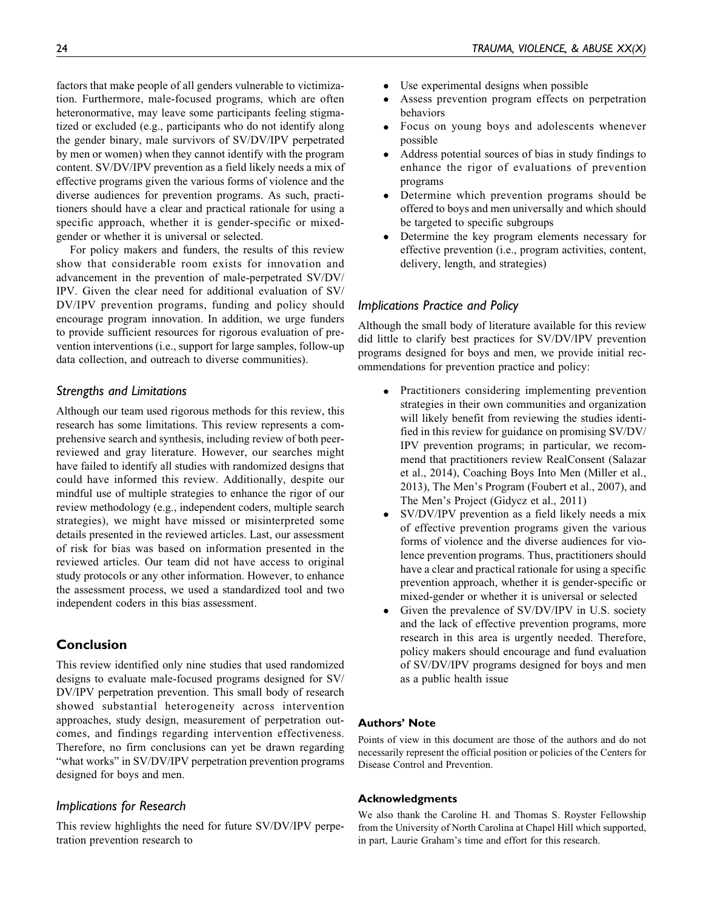factors that make people of all genders vulnerable to victimization. Furthermore, male-focused programs, which are often heteronormative, may leave some participants feeling stigmatized or excluded (e.g., participants who do not identify along the gender binary, male survivors of SV/DV/IPV perpetrated by men or women) when they cannot identify with the program content. SV/DV/IPV prevention as a field likely needs a mix of effective programs given the various forms of violence and the diverse audiences for prevention programs. As such, practitioners should have a clear and practical rationale for using a specific approach, whether it is gender-specific or mixedgender or whether it is universal or selected.

For policy makers and funders, the results of this review show that considerable room exists for innovation and advancement in the prevention of male-perpetrated SV/DV/ IPV. Given the clear need for additional evaluation of SV/ DV/IPV prevention programs, funding and policy should encourage program innovation. In addition, we urge funders to provide sufficient resources for rigorous evaluation of prevention interventions (i.e., support for large samples, follow-up data collection, and outreach to diverse communities).

## Strengths and Limitations

Although our team used rigorous methods for this review, this research has some limitations. This review represents a comprehensive search and synthesis, including review of both peerreviewed and gray literature. However, our searches might have failed to identify all studies with randomized designs that could have informed this review. Additionally, despite our mindful use of multiple strategies to enhance the rigor of our review methodology (e.g., independent coders, multiple search strategies), we might have missed or misinterpreted some details presented in the reviewed articles. Last, our assessment of risk for bias was based on information presented in the reviewed articles. Our team did not have access to original study protocols or any other information. However, to enhance the assessment process, we used a standardized tool and two independent coders in this bias assessment.

# Conclusion

This review identified only nine studies that used randomized designs to evaluate male-focused programs designed for SV/ DV/IPV perpetration prevention. This small body of research showed substantial heterogeneity across intervention approaches, study design, measurement of perpetration outcomes, and findings regarding intervention effectiveness. Therefore, no firm conclusions can yet be drawn regarding "what works" in SV/DV/IPV perpetration prevention programs designed for boys and men.

## Implications for Research

This review highlights the need for future SV/DV/IPV perpetration prevention research to

- $\bullet$ Use experimental designs when possible
- $\bullet$  Assess prevention program effects on perpetration behaviors
- Focus on young boys and adolescents whenever possible
- $\bullet$  Address potential sources of bias in study findings to enhance the rigor of evaluations of prevention programs
- Determine which prevention programs should be offered to boys and men universally and which should be targeted to specific subgroups
- $\bullet$  Determine the key program elements necessary for effective prevention (i.e., program activities, content, delivery, length, and strategies)

## Implications Practice and Policy

Although the small body of literature available for this review did little to clarify best practices for SV/DV/IPV prevention programs designed for boys and men, we provide initial recommendations for prevention practice and policy:

- $\bullet$  Practitioners considering implementing prevention strategies in their own communities and organization will likely benefit from reviewing the studies identified in this review for guidance on promising SV/DV/ IPV prevention programs; in particular, we recommend that practitioners review RealConsent (Salazar et al., 2014), Coaching Boys Into Men (Miller et al., 2013), The Men's Program (Foubert et al., 2007), and The Men's Project (Gidycz et al., 2011)
- SV/DV/IPV prevention as a field likely needs a mix of effective prevention programs given the various forms of violence and the diverse audiences for violence prevention programs. Thus, practitioners should have a clear and practical rationale for using a specific prevention approach, whether it is gender-specific or mixed-gender or whether it is universal or selected
- $\bullet$  Given the prevalence of SV/DV/IPV in U.S. society and the lack of effective prevention programs, more research in this area is urgently needed. Therefore, policy makers should encourage and fund evaluation of SV/DV/IPV programs designed for boys and men as a public health issue

#### Authors' Note

Points of view in this document are those of the authors and do not necessarily represent the official position or policies of the Centers for Disease Control and Prevention.

#### Acknowledgments

We also thank the Caroline H. and Thomas S. Royster Fellowship from the University of North Carolina at Chapel Hill which supported, in part, Laurie Graham's time and effort for this research.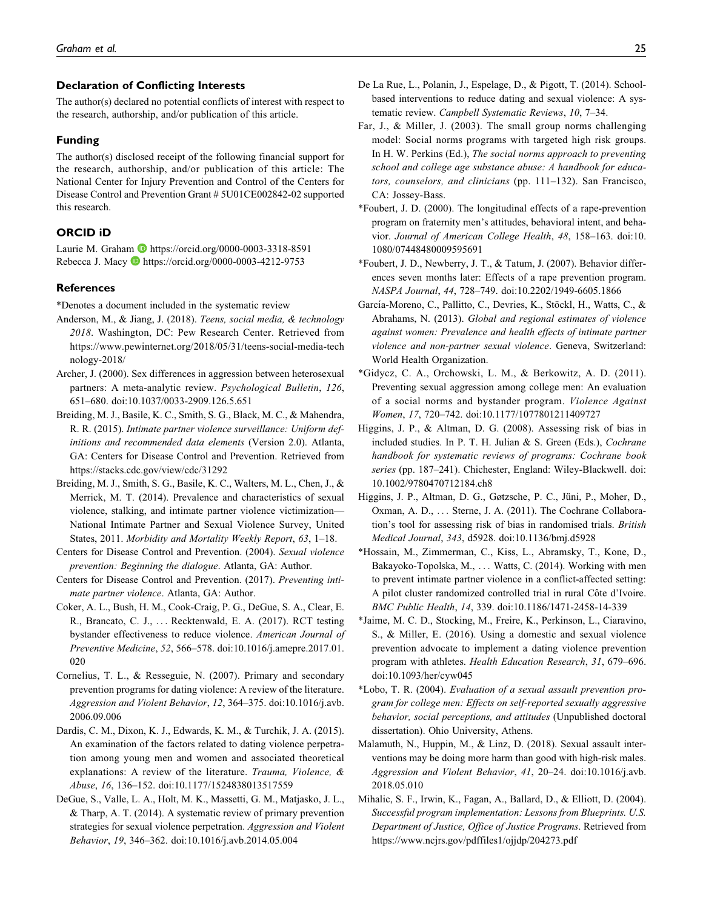#### Declaration of Conflicting Interests

The author(s) declared no potential conflicts of interest with respect to the research, authorship, and/or publication of this article.

#### Funding

The author(s) disclosed receipt of the following financial support for the research, authorship, and/or publication of this article: The National Center for Injury Prevention and Control of the Centers for Disease Control and Prevention Grant # 5U01CE002842-02 supported this research.

#### ORCID iD

Laurie M. Graham <https://orcid.org/0000-0003-3318-8591> Rebecca J. Macy **D** <https://orcid.org/0000-0003-4212-9753>

#### References

\*Denotes a document included in the systematic review

- Anderson, M., & Jiang, J. (2018). Teens, social media, & technology 2018. Washington, DC: Pew Research Center. Retrieved from [https://www.pewinternet.org/2018/05/31/teens-social-media-tech](https://www.pewinternet.org/2018/05/31/teens-social-media-technology-2018/) [nology-2018/](https://www.pewinternet.org/2018/05/31/teens-social-media-technology-2018/)
- Archer, J. (2000). Sex differences in aggression between heterosexual partners: A meta-analytic review. Psychological Bulletin, 126, 651–680. doi:10.1037/0033-2909.126.5.651
- Breiding, M. J., Basile, K. C., Smith, S. G., Black, M. C., & Mahendra, R. R. (2015). Intimate partner violence surveillance: Uniform definitions and recommended data elements (Version 2.0). Atlanta, GA: Centers for Disease Control and Prevention. Retrieved from <https://stacks.cdc.gov/view/cdc/31292>
- Breiding, M. J., Smith, S. G., Basile, K. C., Walters, M. L., Chen, J., & Merrick, M. T. (2014). Prevalence and characteristics of sexual violence, stalking, and intimate partner violence victimization— National Intimate Partner and Sexual Violence Survey, United States, 2011. Morbidity and Mortality Weekly Report, 63, 1–18.
- Centers for Disease Control and Prevention. (2004). Sexual violence prevention: Beginning the dialogue. Atlanta, GA: Author.
- Centers for Disease Control and Prevention. (2017). Preventing intimate partner violence. Atlanta, GA: Author.
- Coker, A. L., Bush, H. M., Cook-Craig, P. G., DeGue, S. A., Clear, E. R., Brancato, C. J., ... Recktenwald, E. A. (2017). RCT testing bystander effectiveness to reduce violence. American Journal of Preventive Medicine, 52, 566–578. doi:10.1016/j.amepre.2017.01. 020
- Cornelius, T. L., & Resseguie, N. (2007). Primary and secondary prevention programs for dating violence: A review of the literature. Aggression and Violent Behavior, 12, 364–375. doi:10.1016/j.avb. 2006.09.006
- Dardis, C. M., Dixon, K. J., Edwards, K. M., & Turchik, J. A. (2015). An examination of the factors related to dating violence perpetration among young men and women and associated theoretical explanations: A review of the literature. Trauma, Violence, & Abuse, 16, 136–152. doi:10.1177/1524838013517559
- DeGue, S., Valle, L. A., Holt, M. K., Massetti, G. M., Matjasko, J. L., & Tharp, A. T. (2014). A systematic review of primary prevention strategies for sexual violence perpetration. Aggression and Violent Behavior, 19, 346–362. doi:10.1016/j.avb.2014.05.004
- De La Rue, L., Polanin, J., Espelage, D., & Pigott, T. (2014). Schoolbased interventions to reduce dating and sexual violence: A systematic review. Campbell Systematic Reviews, 10, 7–34.
- Far, J., & Miller, J. (2003). The small group norms challenging model: Social norms programs with targeted high risk groups. In H. W. Perkins (Ed.), The social norms approach to preventing school and college age substance abuse: A handbook for educators, counselors, and clinicians (pp. 111–132). San Francisco, CA: Jossey-Bass.
- \*Foubert, J. D. (2000). The longitudinal effects of a rape-prevention program on fraternity men's attitudes, behavioral intent, and behavior. Journal of American College Health, 48, 158–163. doi:10. 1080/07448480009595691
- \*Foubert, J. D., Newberry, J. T., & Tatum, J. (2007). Behavior differences seven months later: Effects of a rape prevention program. NASPA Journal, 44, 728–749. doi:10.2202/1949-6605.1866
- García-Moreno, C., Pallitto, C., Devries, K., Stöckl, H., Watts, C., & Abrahams, N. (2013). Global and regional estimates of violence against women: Prevalence and health effects of intimate partner violence and non-partner sexual violence. Geneva, Switzerland: World Health Organization.
- \*Gidycz, C. A., Orchowski, L. M., & Berkowitz, A. D. (2011). Preventing sexual aggression among college men: An evaluation of a social norms and bystander program. Violence Against Women, 17, 720–742. doi:10.1177/1077801211409727
- Higgins, J. P., & Altman, D. G. (2008). Assessing risk of bias in included studies. In P. T. H. Julian & S. Green (Eds.), Cochrane handbook for systematic reviews of programs: Cochrane book series (pp. 187–241). Chichester, England: Wiley-Blackwell. doi: 10.1002/9780470712184.ch8
- Higgins, J. P., Altman, D. G., Gøtzsche, P. C., Jüni, P., Moher, D., Oxman, A. D., ... Sterne, J. A. (2011). The Cochrane Collaboration's tool for assessing risk of bias in randomised trials. British Medical Journal, 343, d5928. doi:10.1136/bmj.d5928
- \*Hossain, M., Zimmerman, C., Kiss, L., Abramsky, T., Kone, D., Bakayoko-Topolska, M., ... Watts, C. (2014). Working with men to prevent intimate partner violence in a conflict-affected setting: A pilot cluster randomized controlled trial in rural Côte d'Ivoire. BMC Public Health, 14, 339. doi:10.1186/1471-2458-14-339
- \*Jaime, M. C. D., Stocking, M., Freire, K., Perkinson, L., Ciaravino, S., & Miller, E. (2016). Using a domestic and sexual violence prevention advocate to implement a dating violence prevention program with athletes. Health Education Research, 31, 679–696. doi:10.1093/her/cyw045
- \*Lobo, T. R. (2004). Evaluation of a sexual assault prevention program for college men: Effects on self-reported sexually aggressive behavior, social perceptions, and attitudes (Unpublished doctoral dissertation). Ohio University, Athens.
- Malamuth, N., Huppin, M., & Linz, D. (2018). Sexual assault interventions may be doing more harm than good with high-risk males. Aggression and Violent Behavior, 41, 20–24. doi:10.1016/j.avb. 2018.05.010
- Mihalic, S. F., Irwin, K., Fagan, A., Ballard, D., & Elliott, D. (2004). Successful program implementation: Lessons from Blueprints. U.S. Department of Justice, Office of Justice Programs. Retrieved from <https://www.ncjrs.gov/pdffiles1/ojjdp/204273.pdf>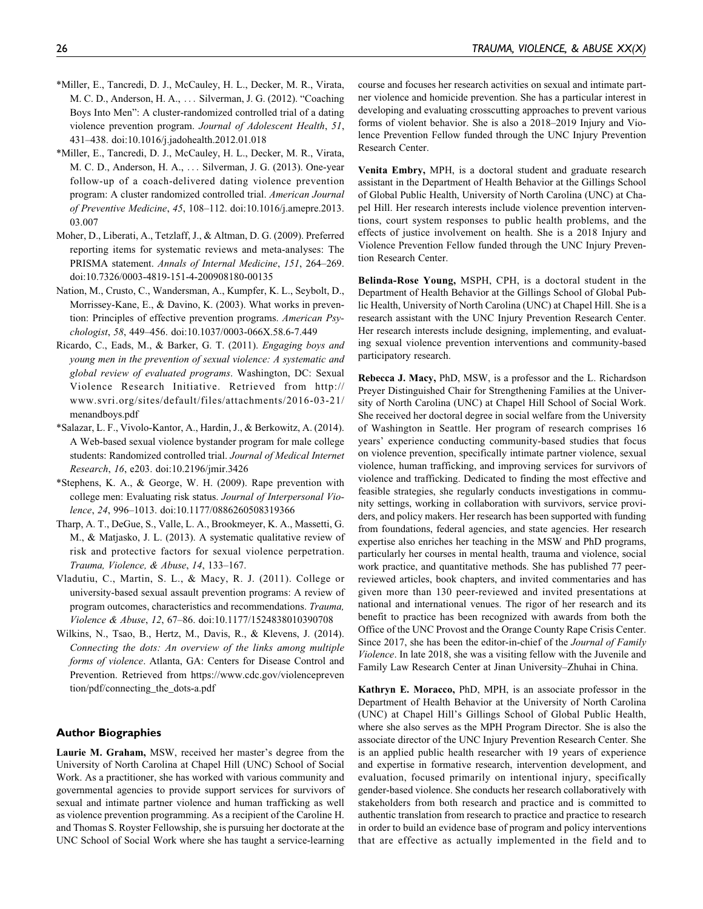- \*Miller, E., Tancredi, D. J., McCauley, H. L., Decker, M. R., Virata, M. C. D., Anderson, H. A., ... Silverman, J. G. (2012). "Coaching Boys Into Men": A cluster-randomized controlled trial of a dating violence prevention program. Journal of Adolescent Health, 51, 431–438. doi:10.1016/j.jadohealth.2012.01.018
- \*Miller, E., Tancredi, D. J., McCauley, H. L., Decker, M. R., Virata, M. C. D., Anderson, H. A., ... Silverman, J. G. (2013). One-year follow-up of a coach-delivered dating violence prevention program: A cluster randomized controlled trial. American Journal of Preventive Medicine, 45, 108–112. doi:10.1016/j.amepre.2013. 03.007
- Moher, D., Liberati, A., Tetzlaff, J., & Altman, D. G. (2009). Preferred reporting items for systematic reviews and meta-analyses: The PRISMA statement. Annals of Internal Medicine, 151, 264–269. doi:10.7326/0003-4819-151-4-200908180-00135
- Nation, M., Crusto, C., Wandersman, A., Kumpfer, K. L., Seybolt, D., Morrissey-Kane, E., & Davino, K. (2003). What works in prevention: Principles of effective prevention programs. American Psychologist, 58, 449–456. doi:10.1037/0003-066X.58.6-7.449
- Ricardo, C., Eads, M., & Barker, G. T. (2011). Engaging boys and young men in the prevention of sexual violence: A systematic and global review of evaluated programs. Washington, DC: Sexual Violence Research Initiative. Retrieved from [http://](http://www.svri.org/sites/default/files/attachments/2016-03-21/menandboys.pdf) [www.svri.org/sites/default/files/attachments/2016-03-21/](http://www.svri.org/sites/default/files/attachments/2016-03-21/menandboys.pdf) [menandboys.pdf](http://www.svri.org/sites/default/files/attachments/2016-03-21/menandboys.pdf)
- \*Salazar, L. F., Vivolo-Kantor, A., Hardin, J., & Berkowitz, A. (2014). A Web-based sexual violence bystander program for male college students: Randomized controlled trial. Journal of Medical Internet Research, 16, e203. doi:10.2196/jmir.3426
- \*Stephens, K. A., & George, W. H. (2009). Rape prevention with college men: Evaluating risk status. Journal of Interpersonal Violence, 24, 996–1013. doi:10.1177/0886260508319366
- Tharp, A. T., DeGue, S., Valle, L. A., Brookmeyer, K. A., Massetti, G. M., & Matjasko, J. L. (2013). A systematic qualitative review of risk and protective factors for sexual violence perpetration. Trauma, Violence, & Abuse, 14, 133–167.
- Vladutiu, C., Martin, S. L., & Macy, R. J. (2011). College or university-based sexual assault prevention programs: A review of program outcomes, characteristics and recommendations. Trauma, Violence & Abuse, 12, 67–86. doi:10.1177/1524838010390708
- Wilkins, N., Tsao, B., Hertz, M., Davis, R., & Klevens, J. (2014). Connecting the dots: An overview of the links among multiple forms of violence. Atlanta, GA: Centers for Disease Control and Prevention. Retrieved from [https://www.cdc.gov/violencepreven](https://www.cdc.gov/violenceprevention/pdf/connecting_the_dots-a.pdf) [tion/pdf/connecting\\_the\\_dots-a.pdf](https://www.cdc.gov/violenceprevention/pdf/connecting_the_dots-a.pdf)

#### Author Biographies

Laurie M. Graham, MSW, received her master's degree from the University of North Carolina at Chapel Hill (UNC) School of Social Work. As a practitioner, she has worked with various community and governmental agencies to provide support services for survivors of sexual and intimate partner violence and human trafficking as well as violence prevention programming. As a recipient of the Caroline H. and Thomas S. Royster Fellowship, she is pursuing her doctorate at the UNC School of Social Work where she has taught a service-learning

course and focuses her research activities on sexual and intimate partner violence and homicide prevention. She has a particular interest in developing and evaluating crosscutting approaches to prevent various forms of violent behavior. She is also a 2018–2019 Injury and Violence Prevention Fellow funded through the UNC Injury Prevention Research Center.

Venita Embry, MPH, is a doctoral student and graduate research assistant in the Department of Health Behavior at the Gillings School of Global Public Health, University of North Carolina (UNC) at Chapel Hill. Her research interests include violence prevention interventions, court system responses to public health problems, and the effects of justice involvement on health. She is a 2018 Injury and Violence Prevention Fellow funded through the UNC Injury Prevention Research Center.

Belinda-Rose Young, MSPH, CPH, is a doctoral student in the Department of Health Behavior at the Gillings School of Global Public Health, University of North Carolina (UNC) at Chapel Hill. She is a research assistant with the UNC Injury Prevention Research Center. Her research interests include designing, implementing, and evaluating sexual violence prevention interventions and community-based participatory research.

Rebecca J. Macy, PhD, MSW, is a professor and the L. Richardson Preyer Distinguished Chair for Strengthening Families at the University of North Carolina (UNC) at Chapel Hill School of Social Work. She received her doctoral degree in social welfare from the University of Washington in Seattle. Her program of research comprises 16 years' experience conducting community-based studies that focus on violence prevention, specifically intimate partner violence, sexual violence, human trafficking, and improving services for survivors of violence and trafficking. Dedicated to finding the most effective and feasible strategies, she regularly conducts investigations in community settings, working in collaboration with survivors, service providers, and policy makers. Her research has been supported with funding from foundations, federal agencies, and state agencies. Her research expertise also enriches her teaching in the MSW and PhD programs, particularly her courses in mental health, trauma and violence, social work practice, and quantitative methods. She has published 77 peerreviewed articles, book chapters, and invited commentaries and has given more than 130 peer-reviewed and invited presentations at national and international venues. The rigor of her research and its benefit to practice has been recognized with awards from both the Office of the UNC Provost and the Orange County Rape Crisis Center. Since 2017, she has been the editor-in-chief of the Journal of Family Violence. In late 2018, she was a visiting fellow with the Juvenile and Family Law Research Center at Jinan University–Zhuhai in China.

Kathryn E. Moracco, PhD, MPH, is an associate professor in the Department of Health Behavior at the University of North Carolina (UNC) at Chapel Hill's Gillings School of Global Public Health, where she also serves as the MPH Program Director. She is also the associate director of the UNC Injury Prevention Research Center. She is an applied public health researcher with 19 years of experience and expertise in formative research, intervention development, and evaluation, focused primarily on intentional injury, specifically gender-based violence. She conducts her research collaboratively with stakeholders from both research and practice and is committed to authentic translation from research to practice and practice to research in order to build an evidence base of program and policy interventions that are effective as actually implemented in the field and to